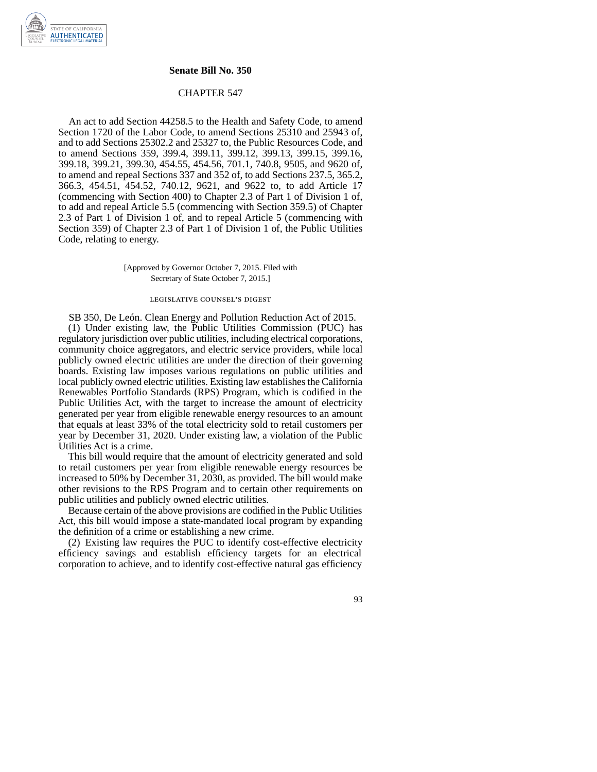## **Senate Bill No. 350**

## CHAPTER 547

An act to add Section 44258.5 to the Health and Safety Code, to amend Section 1720 of the Labor Code, to amend Sections 25310 and 25943 of, and to add Sections 25302.2 and 25327 to, the Public Resources Code, and to amend Sections 359, 399.4, 399.11, 399.12, 399.13, 399.15, 399.16, 399.18, 399.21, 399.30, 454.55, 454.56, 701.1, 740.8, 9505, and 9620 of, to amend and repeal Sections 337 and 352 of, to add Sections 237.5, 365.2, 366.3, 454.51, 454.52, 740.12, 9621, and 9622 to, to add Article 17 (commencing with Section 400) to Chapter 2.3 of Part 1 of Division 1 of, to add and repeal Article 5.5 (commencing with Section 359.5) of Chapter 2.3 of Part 1 of Division 1 of, and to repeal Article 5 (commencing with Section 359) of Chapter 2.3 of Part 1 of Division 1 of, the Public Utilities Code, relating to energy.

> [Approved by Governor October 7, 2015. Filed with Secretary of State October 7, 2015.]

# legislative counsel' s digest

SB 350, De León. Clean Energy and Pollution Reduction Act of 2015. (1) Under existing law, the Public Utilities Commission (PUC) has regulatory jurisdiction over public utilities, including electrical corporations, community choice aggregators, and electric service providers, while local publicly owned electric utilities are under the direction of their governing boards. Existing law imposes various regulations on public utilities and local publicly owned electric utilities. Existing law establishes the California Renewables Portfolio Standards (RPS) Program, which is codified in the Public Utilities Act, with the target to increase the amount of electricity generated per year from eligible renewable energy resources to an amount that equals at least 33% of the total electricity sold to retail customers per year by December 31, 2020. Under existing law, a violation of the Public Utilities Act is a crime.

This bill would require that the amount of electricity generated and sold to retail customers per year from eligible renewable energy resources be increased to 50% by December 31, 2030, as provided. The bill would make other revisions to the RPS Program and to certain other requirements on public utilities and publicly owned electric utilities.

Because certain of the above provisions are codified in the Public Utilities Act, this bill would impose a state-mandated local program by expanding the definition of a crime or establishing a new crime.

(2) Existing law requires the PUC to identify cost-effective electricity efficiency savings and establish efficiency targets for an electrical corporation to achieve, and to identify cost-effective natural gas efficiency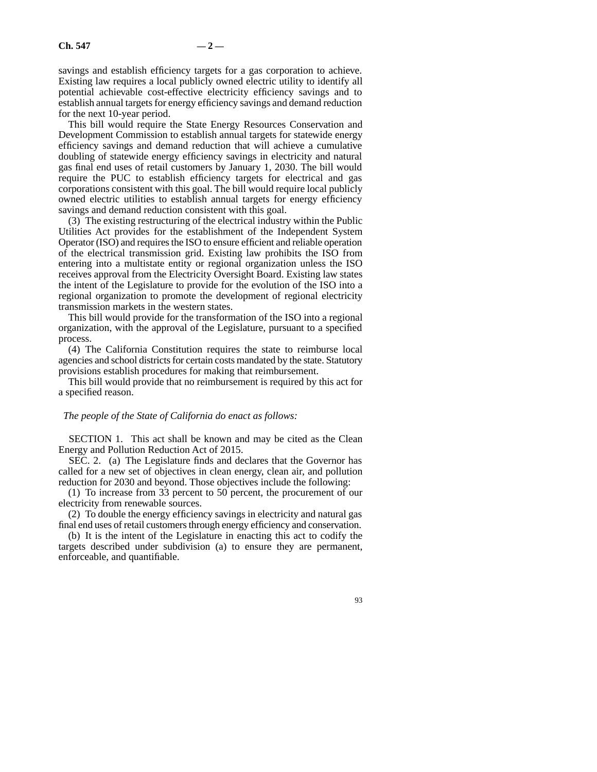savings and establish efficiency targets for a gas corporation to achieve. Existing law requires a local publicly owned electric utility to identify all potential achievable cost-effective electricity efficiency savings and to establish annual targets for energy efficiency savings and demand reduction for the next 10-year period.

This bill would require the State Energy Resources Conservation and Development Commission to establish annual targets for statewide energy efficiency savings and demand reduction that will achieve a cumulative doubling of statewide energy efficiency savings in electricity and natural gas final end uses of retail customers by January 1, 2030. The bill would require the PUC to establish efficiency targets for electrical and gas corporations consistent with this goal. The bill would require local publicly owned electric utilities to establish annual targets for energy efficiency savings and demand reduction consistent with this goal.

(3) The existing restructuring of the electrical industry within the Public Utilities Act provides for the establishment of the Independent System Operator (ISO) and requires the ISO to ensure efficient and reliable operation of the electrical transmission grid. Existing law prohibits the ISO from entering into a multistate entity or regional organization unless the ISO receives approval from the Electricity Oversight Board. Existing law states the intent of the Legislature to provide for the evolution of the ISO into a regional organization to promote the development of regional electricity transmission markets in the western states.

This bill would provide for the transformation of the ISO into a regional organization, with the approval of the Legislature, pursuant to a specified process.

(4) The California Constitution requires the state to reimburse local agencies and school districts for certain costs mandated by the state. Statutory provisions establish procedures for making that reimbursement.

This bill would provide that no reimbursement is required by this act for a specified reason.

#### *The people of the State of California do enact as follows:*

SECTION 1. This act shall be known and may be cited as the Clean Energy and Pollution Reduction Act of 2015.

SEC. 2. (a) The Legislature finds and declares that the Governor has called for a new set of objectives in clean energy, clean air, and pollution reduction for 2030 and beyond. Those objectives include the following:

(1) To increase from 33 percent to 50 percent, the procurement of our electricity from renewable sources.

(2) To double the energy efficiency savings in electricity and natural gas final end uses of retail customers through energy efficiency and conservation.

(b) It is the intent of the Legislature in enacting this act to codify the targets described under subdivision (a) to ensure they are permanent, enforceable, and quantifiable.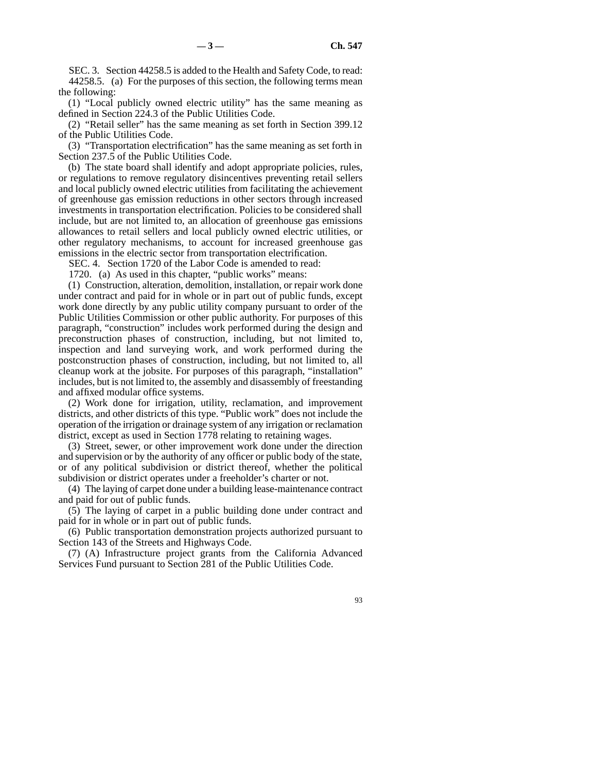SEC. 3. Section 44258.5 is added to the Health and Safety Code, to read: 44258.5. (a) For the purposes of this section, the following terms mean the following:

(1) "Local publicly owned electric utility" has the same meaning as defined in Section 224.3 of the Public Utilities Code.

(2) "Retail seller" has the same meaning as set forth in Section 399.12 of the Public Utilities Code.

(3) "Transportation electrification" has the same meaning as set forth in Section 237.5 of the Public Utilities Code.

(b) The state board shall identify and adopt appropriate policies, rules, or regulations to remove regulatory disincentives preventing retail sellers and local publicly owned electric utilities from facilitating the achievement of greenhouse gas emission reductions in other sectors through increased investments in transportation electrification. Policies to be considered shall include, but are not limited to, an allocation of greenhouse gas emissions allowances to retail sellers and local publicly owned electric utilities, or other regulatory mechanisms, to account for increased greenhouse gas emissions in the electric sector from transportation electrification.

SEC. 4. Section 1720 of the Labor Code is amended to read:

1720. (a) As used in this chapter, "public works" means:

(1) Construction, alteration, demolition, installation, or repair work done under contract and paid for in whole or in part out of public funds, except work done directly by any public utility company pursuant to order of the Public Utilities Commission or other public authority. For purposes of this paragraph, "construction" includes work performed during the design and preconstruction phases of construction, including, but not limited to, inspection and land surveying work, and work performed during the postconstruction phases of construction, including, but not limited to, all cleanup work at the jobsite. For purposes of this paragraph, "installation" includes, but is not limited to, the assembly and disassembly of freestanding and affixed modular office systems.

(2) Work done for irrigation, utility, reclamation, and improvement districts, and other districts of this type. "Public work" does not include the operation of the irrigation or drainage system of any irrigation or reclamation district, except as used in Section 1778 relating to retaining wages.

(3) Street, sewer, or other improvement work done under the direction and supervision or by the authority of any officer or public body of the state, or of any political subdivision or district thereof, whether the political subdivision or district operates under a freeholder's charter or not.

(4) The laying of carpet done under a building lease-maintenance contract and paid for out of public funds.

(5) The laying of carpet in a public building done under contract and paid for in whole or in part out of public funds.

(6) Public transportation demonstration projects authorized pursuant to Section 143 of the Streets and Highways Code.

(7) (A) Infrastructure project grants from the California Advanced Services Fund pursuant to Section 281 of the Public Utilities Code.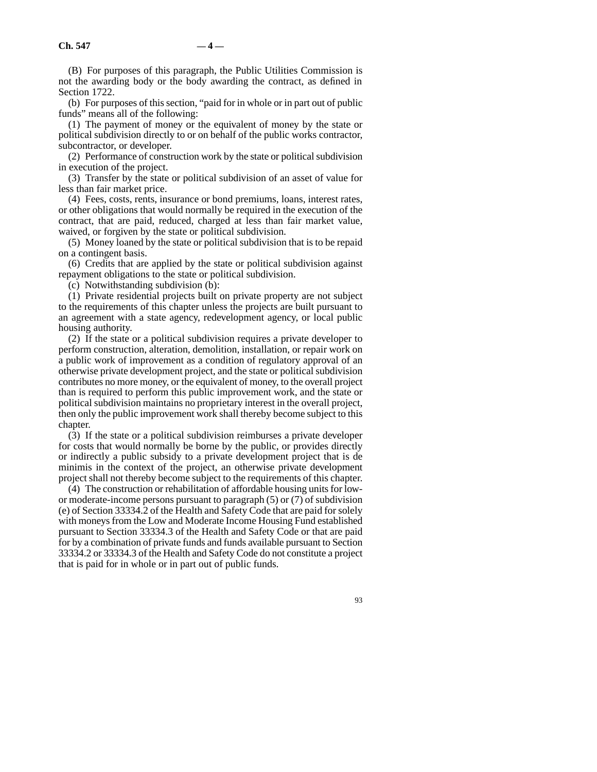(B) For purposes of this paragraph, the Public Utilities Commission is not the awarding body or the body awarding the contract, as defined in Section 1722.

(b) For purposes of this section, "paid for in whole or in part out of public funds" means all of the following:

(1) The payment of money or the equivalent of money by the state or political subdivision directly to or on behalf of the public works contractor, subcontractor, or developer.

(2) Performance of construction work by the state or political subdivision in execution of the project.

(3) Transfer by the state or political subdivision of an asset of value for less than fair market price.

(4) Fees, costs, rents, insurance or bond premiums, loans, interest rates, or other obligations that would normally be required in the execution of the contract, that are paid, reduced, charged at less than fair market value, waived, or forgiven by the state or political subdivision.

(5) Money loaned by the state or political subdivision that is to be repaid on a contingent basis.

(6) Credits that are applied by the state or political subdivision against repayment obligations to the state or political subdivision.

(c) Notwithstanding subdivision (b):

(1) Private residential projects built on private property are not subject to the requirements of this chapter unless the projects are built pursuant to an agreement with a state agency, redevelopment agency, or local public housing authority.

(2) If the state or a political subdivision requires a private developer to perform construction, alteration, demolition, installation, or repair work on a public work of improvement as a condition of regulatory approval of an otherwise private development project, and the state or political subdivision contributes no more money, or the equivalent of money, to the overall project than is required to perform this public improvement work, and the state or political subdivision maintains no proprietary interest in the overall project, then only the public improvement work shall thereby become subject to this chapter.

(3) If the state or a political subdivision reimburses a private developer for costs that would normally be borne by the public, or provides directly or indirectly a public subsidy to a private development project that is de minimis in the context of the project, an otherwise private development project shall not thereby become subject to the requirements of this chapter.

(4) The construction or rehabilitation of affordable housing units for lowor moderate-income persons pursuant to paragraph (5) or (7) of subdivision (e) of Section 33334.2 of the Health and Safety Code that are paid for solely with moneys from the Low and Moderate Income Housing Fund established pursuant to Section 33334.3 of the Health and Safety Code or that are paid for by a combination of private funds and funds available pursuant to Section 33334.2 or 33334.3 of the Health and Safety Code do not constitute a project that is paid for in whole or in part out of public funds.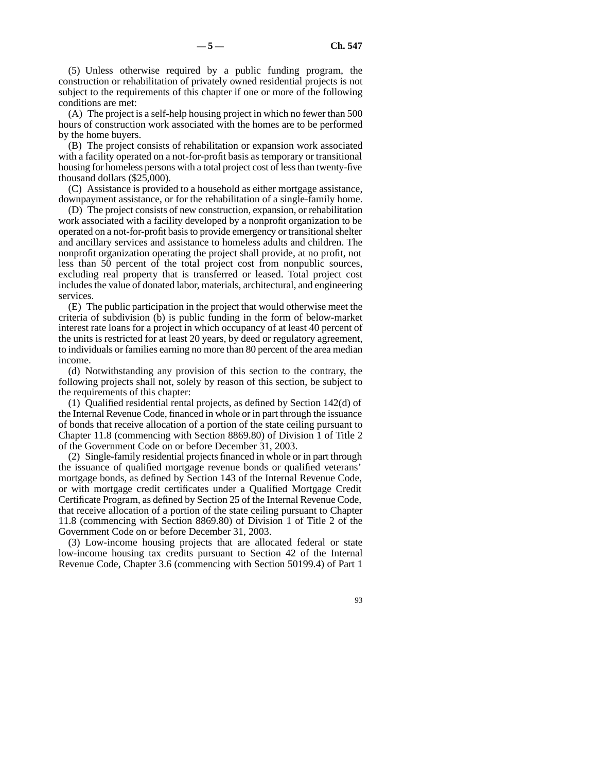(5) Unless otherwise required by a public funding program, the construction or rehabilitation of privately owned residential projects is not subject to the requirements of this chapter if one or more of the following conditions are met:

(A) The project is a self-help housing project in which no fewer than 500 hours of construction work associated with the homes are to be performed by the home buyers.

(B) The project consists of rehabilitation or expansion work associated with a facility operated on a not-for-profit basis as temporary or transitional housing for homeless persons with a total project cost of less than twenty-five thousand dollars (\$25,000).

(C) Assistance is provided to a household as either mortgage assistance, downpayment assistance, or for the rehabilitation of a single-family home.

(D) The project consists of new construction, expansion, or rehabilitation work associated with a facility developed by a nonprofit organization to be operated on a not-for-profit basis to provide emergency or transitional shelter and ancillary services and assistance to homeless adults and children. The nonprofit organization operating the project shall provide, at no profit, not less than 50 percent of the total project cost from nonpublic sources, excluding real property that is transferred or leased. Total project cost includes the value of donated labor, materials, architectural, and engineering services.

(E) The public participation in the project that would otherwise meet the criteria of subdivision (b) is public funding in the form of below-market interest rate loans for a project in which occupancy of at least 40 percent of the units is restricted for at least 20 years, by deed or regulatory agreement, to individuals or families earning no more than 80 percent of the area median income.

(d) Notwithstanding any provision of this section to the contrary, the following projects shall not, solely by reason of this section, be subject to the requirements of this chapter:

(1) Qualified residential rental projects, as defined by Section 142(d) of the Internal Revenue Code, financed in whole or in part through the issuance of bonds that receive allocation of a portion of the state ceiling pursuant to Chapter 11.8 (commencing with Section 8869.80) of Division 1 of Title 2 of the Government Code on or before December 31, 2003.

(2) Single-family residential projects financed in whole or in part through the issuance of qualified mortgage revenue bonds or qualified veterans' mortgage bonds, as defined by Section 143 of the Internal Revenue Code, or with mortgage credit certificates under a Qualified Mortgage Credit Certificate Program, as defined by Section 25 of the Internal Revenue Code, that receive allocation of a portion of the state ceiling pursuant to Chapter 11.8 (commencing with Section 8869.80) of Division 1 of Title 2 of the Government Code on or before December 31, 2003.

(3) Low-income housing projects that are allocated federal or state low-income housing tax credits pursuant to Section 42 of the Internal Revenue Code, Chapter 3.6 (commencing with Section 50199.4) of Part 1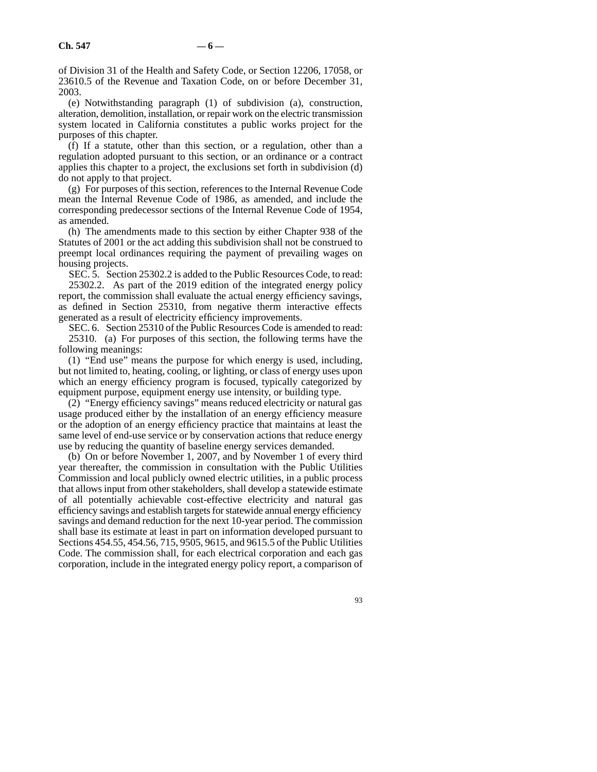of Division 31 of the Health and Safety Code, or Section 12206, 17058, or 23610.5 of the Revenue and Taxation Code, on or before December 31, 2003.

(e) Notwithstanding paragraph (1) of subdivision (a), construction, alteration, demolition, installation, or repair work on the electric transmission system located in California constitutes a public works project for the purposes of this chapter.

(f) If a statute, other than this section, or a regulation, other than a regulation adopted pursuant to this section, or an ordinance or a contract applies this chapter to a project, the exclusions set forth in subdivision (d) do not apply to that project.

(g) For purposes of this section, references to the Internal Revenue Code mean the Internal Revenue Code of 1986, as amended, and include the corresponding predecessor sections of the Internal Revenue Code of 1954, as amended.

(h) The amendments made to this section by either Chapter 938 of the Statutes of 2001 or the act adding this subdivision shall not be construed to preempt local ordinances requiring the payment of prevailing wages on housing projects.

SEC. 5. Section 25302.2 is added to the Public Resources Code, to read: 25302.2. As part of the 2019 edition of the integrated energy policy report, the commission shall evaluate the actual energy efficiency savings, as defined in Section 25310, from negative therm interactive effects generated as a result of electricity efficiency improvements.

SEC. 6. Section 25310 of the Public Resources Code is amended to read: 25310. (a) For purposes of this section, the following terms have the following meanings:

(1) "End use" means the purpose for which energy is used, including, but not limited to, heating, cooling, or lighting, or class of energy uses upon which an energy efficiency program is focused, typically categorized by equipment purpose, equipment energy use intensity, or building type.

(2) "Energy efficiency savings" means reduced electricity or natural gas usage produced either by the installation of an energy efficiency measure or the adoption of an energy efficiency practice that maintains at least the same level of end-use service or by conservation actions that reduce energy use by reducing the quantity of baseline energy services demanded.

(b) On or before November 1, 2007, and by November 1 of every third year thereafter, the commission in consultation with the Public Utilities Commission and local publicly owned electric utilities, in a public process that allows input from other stakeholders, shall develop a statewide estimate of all potentially achievable cost-effective electricity and natural gas efficiency savings and establish targets for statewide annual energy efficiency savings and demand reduction for the next 10-year period. The commission shall base its estimate at least in part on information developed pursuant to Sections 454.55, 454.56, 715, 9505, 9615, and 9615.5 of the Public Utilities Code. The commission shall, for each electrical corporation and each gas corporation, include in the integrated energy policy report, a comparison of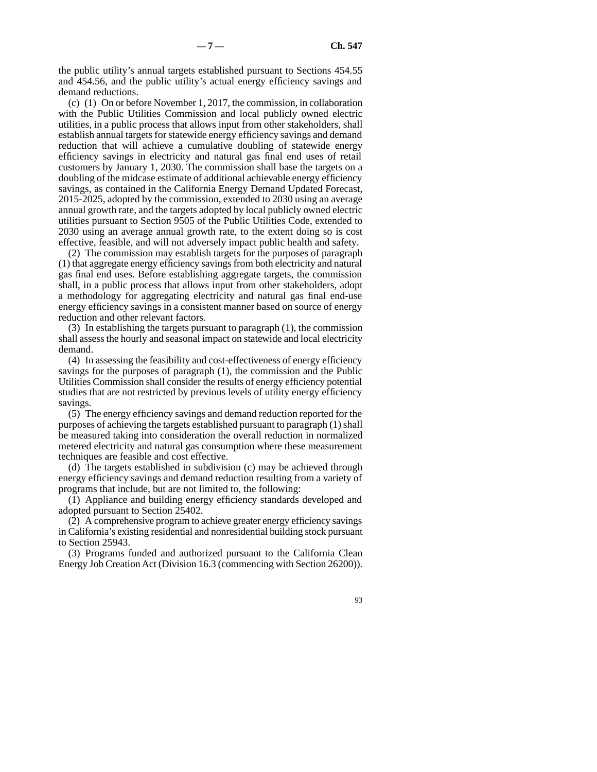the public utility's annual targets established pursuant to Sections 454.55 and 454.56, and the public utility's actual energy efficiency savings and demand reductions.

(c) (1) On or before November 1, 2017, the commission, in collaboration with the Public Utilities Commission and local publicly owned electric utilities, in a public process that allows input from other stakeholders, shall establish annual targets for statewide energy efficiency savings and demand reduction that will achieve a cumulative doubling of statewide energy efficiency savings in electricity and natural gas final end uses of retail customers by January 1, 2030. The commission shall base the targets on a doubling of the midcase estimate of additional achievable energy efficiency savings, as contained in the California Energy Demand Updated Forecast, 2015-2025, adopted by the commission, extended to 2030 using an average annual growth rate, and the targets adopted by local publicly owned electric utilities pursuant to Section 9505 of the Public Utilities Code, extended to 2030 using an average annual growth rate, to the extent doing so is cost effective, feasible, and will not adversely impact public health and safety.

(2) The commission may establish targets for the purposes of paragraph (1) that aggregate energy efficiency savings from both electricity and natural gas final end uses. Before establishing aggregate targets, the commission shall, in a public process that allows input from other stakeholders, adopt a methodology for aggregating electricity and natural gas final end-use energy efficiency savings in a consistent manner based on source of energy reduction and other relevant factors.

(3) In establishing the targets pursuant to paragraph (1), the commission shall assess the hourly and seasonal impact on statewide and local electricity demand.

(4) In assessing the feasibility and cost-effectiveness of energy efficiency savings for the purposes of paragraph (1), the commission and the Public Utilities Commission shall consider the results of energy efficiency potential studies that are not restricted by previous levels of utility energy efficiency savings.

(5) The energy efficiency savings and demand reduction reported for the purposes of achieving the targets established pursuant to paragraph (1) shall be measured taking into consideration the overall reduction in normalized metered electricity and natural gas consumption where these measurement techniques are feasible and cost effective.

(d) The targets established in subdivision (c) may be achieved through energy efficiency savings and demand reduction resulting from a variety of programs that include, but are not limited to, the following:

(1) Appliance and building energy efficiency standards developed and adopted pursuant to Section 25402.

(2) A comprehensive program to achieve greater energy efficiency savings in California's existing residential and nonresidential building stock pursuant to Section 25943.

(3) Programs funded and authorized pursuant to the California Clean Energy Job Creation Act (Division 16.3 (commencing with Section 26200)).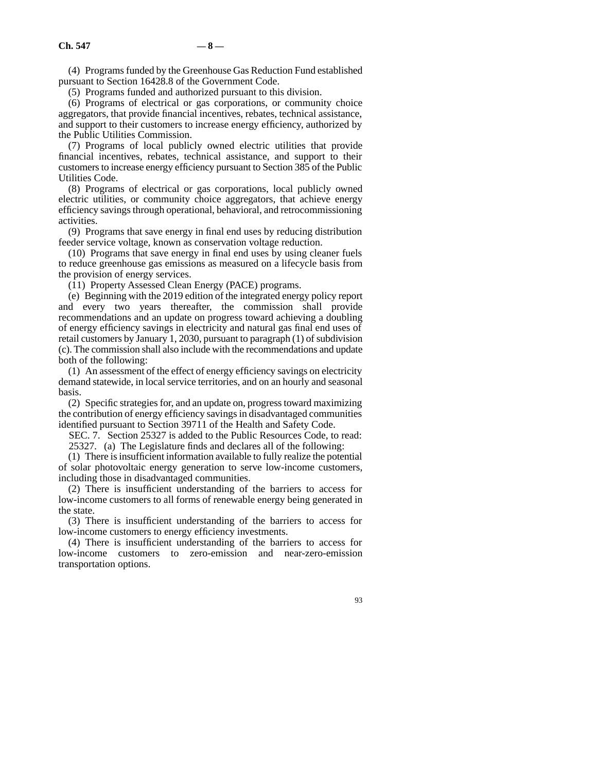(4) Programs funded by the Greenhouse Gas Reduction Fund established pursuant to Section 16428.8 of the Government Code.

(5) Programs funded and authorized pursuant to this division.

(6) Programs of electrical or gas corporations, or community choice aggregators, that provide financial incentives, rebates, technical assistance, and support to their customers to increase energy efficiency, authorized by the Public Utilities Commission.

(7) Programs of local publicly owned electric utilities that provide financial incentives, rebates, technical assistance, and support to their customers to increase energy efficiency pursuant to Section 385 of the Public Utilities Code.

(8) Programs of electrical or gas corporations, local publicly owned electric utilities, or community choice aggregators, that achieve energy efficiency savings through operational, behavioral, and retrocommissioning activities.

(9) Programs that save energy in final end uses by reducing distribution feeder service voltage, known as conservation voltage reduction.

(10) Programs that save energy in final end uses by using cleaner fuels to reduce greenhouse gas emissions as measured on a lifecycle basis from the provision of energy services.

(11) Property Assessed Clean Energy (PACE) programs.

(e) Beginning with the 2019 edition of the integrated energy policy report and every two years thereafter, the commission shall provide recommendations and an update on progress toward achieving a doubling of energy efficiency savings in electricity and natural gas final end uses of retail customers by January 1, 2030, pursuant to paragraph (1) of subdivision (c). The commission shall also include with the recommendations and update both of the following:

(1) An assessment of the effect of energy efficiency savings on electricity demand statewide, in local service territories, and on an hourly and seasonal basis.

(2) Specific strategies for, and an update on, progress toward maximizing the contribution of energy efficiency savings in disadvantaged communities identified pursuant to Section 39711 of the Health and Safety Code.

SEC. 7. Section 25327 is added to the Public Resources Code, to read:

25327. (a) The Legislature finds and declares all of the following:

(1) There is insufficient information available to fully realize the potential of solar photovoltaic energy generation to serve low-income customers, including those in disadvantaged communities.

(2) There is insufficient understanding of the barriers to access for low-income customers to all forms of renewable energy being generated in the state.

(3) There is insufficient understanding of the barriers to access for low-income customers to energy efficiency investments.

(4) There is insufficient understanding of the barriers to access for low-income customers to zero-emission and near-zero-emission transportation options.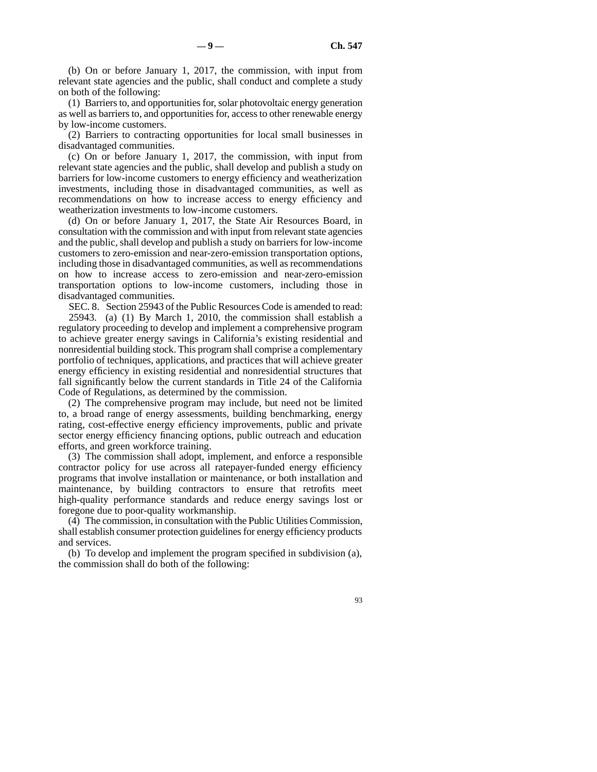(b) On or before January 1, 2017, the commission, with input from relevant state agencies and the public, shall conduct and complete a study on both of the following:

(1) Barriers to, and opportunities for, solar photovoltaic energy generation as well as barriers to, and opportunities for, access to other renewable energy by low-income customers.

(2) Barriers to contracting opportunities for local small businesses in disadvantaged communities.

(c) On or before January 1, 2017, the commission, with input from relevant state agencies and the public, shall develop and publish a study on barriers for low-income customers to energy efficiency and weatherization investments, including those in disadvantaged communities, as well as recommendations on how to increase access to energy efficiency and weatherization investments to low-income customers.

(d) On or before January 1, 2017, the State Air Resources Board, in consultation with the commission and with input from relevant state agencies and the public, shall develop and publish a study on barriers for low-income customers to zero-emission and near-zero-emission transportation options, including those in disadvantaged communities, as well as recommendations on how to increase access to zero-emission and near-zero-emission transportation options to low-income customers, including those in disadvantaged communities.

SEC. 8. Section 25943 of the Public Resources Code is amended to read: 25943. (a) (1) By March 1, 2010, the commission shall establish a regulatory proceeding to develop and implement a comprehensive program to achieve greater energy savings in California's existing residential and nonresidential building stock. This program shall comprise a complementary portfolio of techniques, applications, and practices that will achieve greater energy efficiency in existing residential and nonresidential structures that fall significantly below the current standards in Title 24 of the California Code of Regulations, as determined by the commission.

(2) The comprehensive program may include, but need not be limited to, a broad range of energy assessments, building benchmarking, energy rating, cost-effective energy efficiency improvements, public and private sector energy efficiency financing options, public outreach and education efforts, and green workforce training.

(3) The commission shall adopt, implement, and enforce a responsible contractor policy for use across all ratepayer-funded energy efficiency programs that involve installation or maintenance, or both installation and maintenance, by building contractors to ensure that retrofits meet high-quality performance standards and reduce energy savings lost or foregone due to poor-quality workmanship.

(4) The commission, in consultation with the Public Utilities Commission, shall establish consumer protection guidelines for energy efficiency products and services.

(b) To develop and implement the program specified in subdivision (a), the commission shall do both of the following: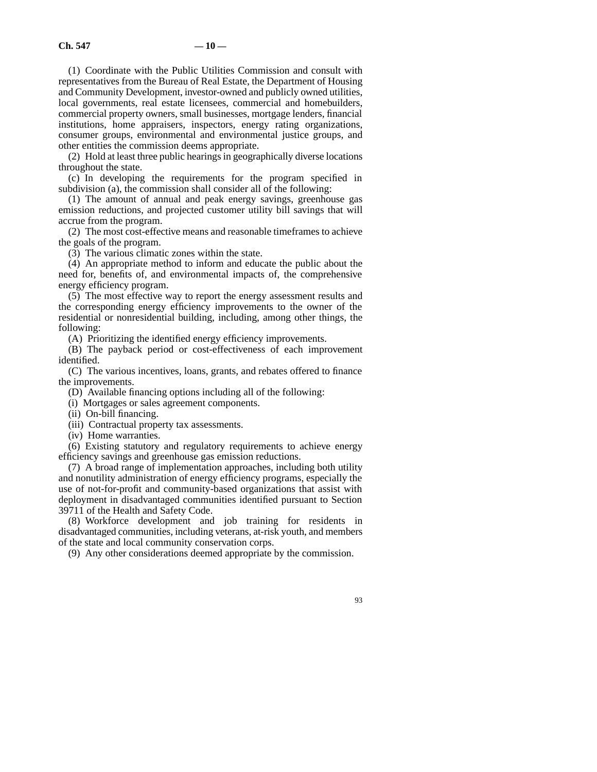(1) Coordinate with the Public Utilities Commission and consult with representatives from the Bureau of Real Estate, the Department of Housing and Community Development, investor-owned and publicly owned utilities, local governments, real estate licensees, commercial and homebuilders, commercial property owners, small businesses, mortgage lenders, financial institutions, home appraisers, inspectors, energy rating organizations, consumer groups, environmental and environmental justice groups, and other entities the commission deems appropriate.

(2) Hold at least three public hearings in geographically diverse locations throughout the state.

(c) In developing the requirements for the program specified in subdivision (a), the commission shall consider all of the following:

(1) The amount of annual and peak energy savings, greenhouse gas emission reductions, and projected customer utility bill savings that will accrue from the program.

(2) The most cost-effective means and reasonable timeframes to achieve the goals of the program.

(3) The various climatic zones within the state.

(4) An appropriate method to inform and educate the public about the need for, benefits of, and environmental impacts of, the comprehensive energy efficiency program.

(5) The most effective way to report the energy assessment results and the corresponding energy efficiency improvements to the owner of the residential or nonresidential building, including, among other things, the following:

(A) Prioritizing the identified energy efficiency improvements.

(B) The payback period or cost-effectiveness of each improvement identified.

(C) The various incentives, loans, grants, and rebates offered to finance the improvements.

(D) Available financing options including all of the following:

(i) Mortgages or sales agreement components.

(ii) On-bill financing.

(iii) Contractual property tax assessments.

(iv) Home warranties.

(6) Existing statutory and regulatory requirements to achieve energy efficiency savings and greenhouse gas emission reductions.

(7) A broad range of implementation approaches, including both utility and nonutility administration of energy efficiency programs, especially the use of not-for-profit and community-based organizations that assist with deployment in disadvantaged communities identified pursuant to Section 39711 of the Health and Safety Code.

(8) Workforce development and job training for residents in disadvantaged communities, including veterans, at-risk youth, and members of the state and local community conservation corps.

(9) Any other considerations deemed appropriate by the commission.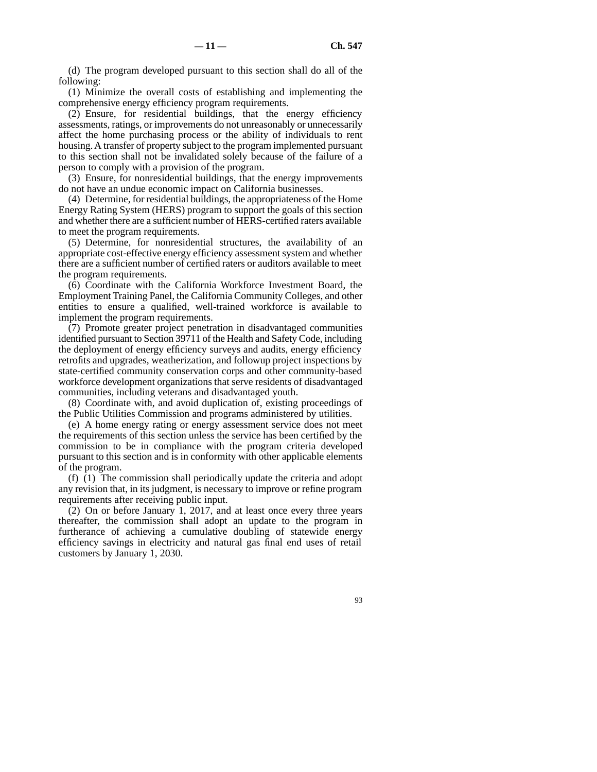(d) The program developed pursuant to this section shall do all of the following:

(1) Minimize the overall costs of establishing and implementing the comprehensive energy efficiency program requirements.

(2) Ensure, for residential buildings, that the energy efficiency assessments, ratings, or improvements do not unreasonably or unnecessarily affect the home purchasing process or the ability of individuals to rent housing. A transfer of property subject to the program implemented pursuant to this section shall not be invalidated solely because of the failure of a person to comply with a provision of the program.

(3) Ensure, for nonresidential buildings, that the energy improvements do not have an undue economic impact on California businesses.

(4) Determine, for residential buildings, the appropriateness of the Home Energy Rating System (HERS) program to support the goals of this section and whether there are a sufficient number of HERS-certified raters available to meet the program requirements.

(5) Determine, for nonresidential structures, the availability of an appropriate cost-effective energy efficiency assessment system and whether there are a sufficient number of certified raters or auditors available to meet the program requirements.

(6) Coordinate with the California Workforce Investment Board, the Employment Training Panel, the California Community Colleges, and other entities to ensure a qualified, well-trained workforce is available to implement the program requirements.

(7) Promote greater project penetration in disadvantaged communities identified pursuant to Section 39711 of the Health and Safety Code, including the deployment of energy efficiency surveys and audits, energy efficiency retrofits and upgrades, weatherization, and followup project inspections by state-certified community conservation corps and other community-based workforce development organizations that serve residents of disadvantaged communities, including veterans and disadvantaged youth.

(8) Coordinate with, and avoid duplication of, existing proceedings of the Public Utilities Commission and programs administered by utilities.

(e) A home energy rating or energy assessment service does not meet the requirements of this section unless the service has been certified by the commission to be in compliance with the program criteria developed pursuant to this section and is in conformity with other applicable elements of the program.

(f) (1) The commission shall periodically update the criteria and adopt any revision that, in its judgment, is necessary to improve or refine program requirements after receiving public input.

(2) On or before January 1, 2017, and at least once every three years thereafter, the commission shall adopt an update to the program in furtherance of achieving a cumulative doubling of statewide energy efficiency savings in electricity and natural gas final end uses of retail customers by January 1, 2030.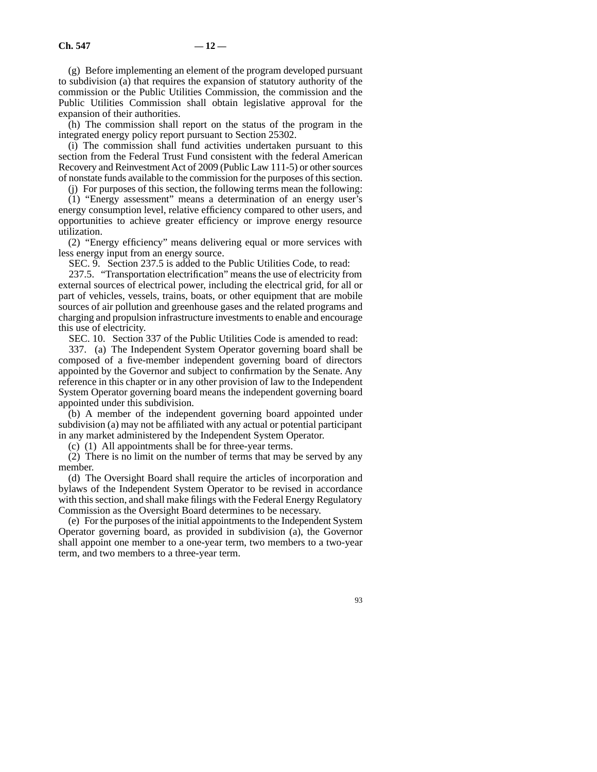(g) Before implementing an element of the program developed pursuant to subdivision (a) that requires the expansion of statutory authority of the commission or the Public Utilities Commission, the commission and the Public Utilities Commission shall obtain legislative approval for the expansion of their authorities.

(h) The commission shall report on the status of the program in the integrated energy policy report pursuant to Section 25302.

(i) The commission shall fund activities undertaken pursuant to this section from the Federal Trust Fund consistent with the federal American Recovery and Reinvestment Act of 2009 (Public Law 111-5) or other sources of nonstate funds available to the commission for the purposes of this section.

(j) For purposes of this section, the following terms mean the following:

(1) "Energy assessment" means a determination of an energy user's energy consumption level, relative efficiency compared to other users, and opportunities to achieve greater efficiency or improve energy resource utilization.

(2) "Energy efficiency" means delivering equal or more services with less energy input from an energy source.

SEC. 9. Section 237.5 is added to the Public Utilities Code, to read:

237.5. "Transportation electrification" means the use of electricity from external sources of electrical power, including the electrical grid, for all or part of vehicles, vessels, trains, boats, or other equipment that are mobile sources of air pollution and greenhouse gases and the related programs and charging and propulsion infrastructure investments to enable and encourage this use of electricity.

SEC. 10. Section 337 of the Public Utilities Code is amended to read:

337. (a) The Independent System Operator governing board shall be composed of a five-member independent governing board of directors appointed by the Governor and subject to confirmation by the Senate. Any reference in this chapter or in any other provision of law to the Independent System Operator governing board means the independent governing board appointed under this subdivision.

(b) A member of the independent governing board appointed under subdivision (a) may not be affiliated with any actual or potential participant in any market administered by the Independent System Operator.

(c) (1) All appointments shall be for three-year terms.

(2) There is no limit on the number of terms that may be served by any member.

(d) The Oversight Board shall require the articles of incorporation and bylaws of the Independent System Operator to be revised in accordance with this section, and shall make filings with the Federal Energy Regulatory Commission as the Oversight Board determines to be necessary.

(e) For the purposes of the initial appointments to the Independent System Operator governing board, as provided in subdivision (a), the Governor shall appoint one member to a one-year term, two members to a two-year term, and two members to a three-year term.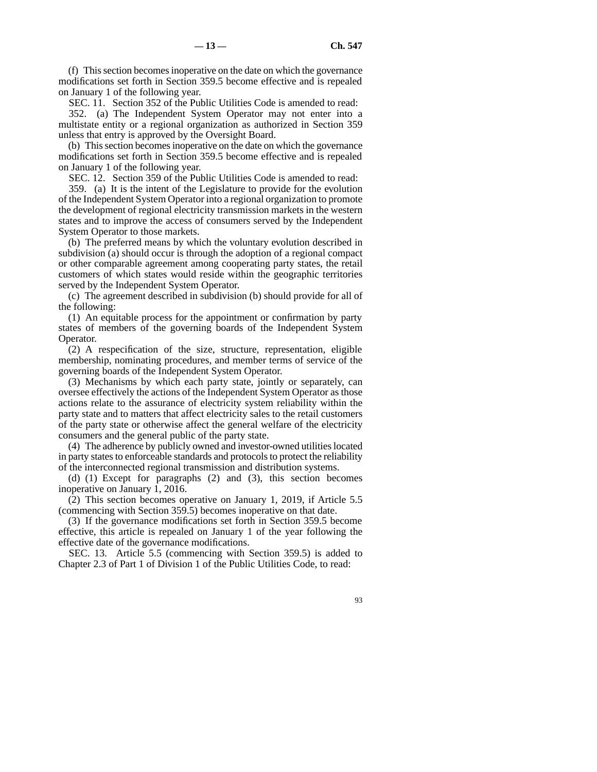(f) This section becomes inoperative on the date on which the governance modifications set forth in Section 359.5 become effective and is repealed on January 1 of the following year.

SEC. 11. Section 352 of the Public Utilities Code is amended to read:

352. (a) The Independent System Operator may not enter into a multistate entity or a regional organization as authorized in Section 359 unless that entry is approved by the Oversight Board.

(b) This section becomes inoperative on the date on which the governance modifications set forth in Section 359.5 become effective and is repealed on January 1 of the following year.

SEC. 12. Section 359 of the Public Utilities Code is amended to read:

359. (a) It is the intent of the Legislature to provide for the evolution of the Independent System Operator into a regional organization to promote the development of regional electricity transmission markets in the western states and to improve the access of consumers served by the Independent System Operator to those markets.

(b) The preferred means by which the voluntary evolution described in subdivision (a) should occur is through the adoption of a regional compact or other comparable agreement among cooperating party states, the retail customers of which states would reside within the geographic territories served by the Independent System Operator.

(c) The agreement described in subdivision (b) should provide for all of the following:

(1) An equitable process for the appointment or confirmation by party states of members of the governing boards of the Independent System Operator.

(2) A respecification of the size, structure, representation, eligible membership, nominating procedures, and member terms of service of the governing boards of the Independent System Operator.

(3) Mechanisms by which each party state, jointly or separately, can oversee effectively the actions of the Independent System Operator as those actions relate to the assurance of electricity system reliability within the party state and to matters that affect electricity sales to the retail customers of the party state or otherwise affect the general welfare of the electricity consumers and the general public of the party state.

(4) The adherence by publicly owned and investor-owned utilities located in party states to enforceable standards and protocols to protect the reliability of the interconnected regional transmission and distribution systems.

(d) (1) Except for paragraphs (2) and (3), this section becomes inoperative on January 1, 2016.

(2) This section becomes operative on January 1, 2019, if Article 5.5 (commencing with Section 359.5) becomes inoperative on that date.

(3) If the governance modifications set forth in Section 359.5 become effective, this article is repealed on January 1 of the year following the effective date of the governance modifications.

SEC. 13. Article 5.5 (commencing with Section 359.5) is added to Chapter 2.3 of Part 1 of Division 1 of the Public Utilities Code, to read: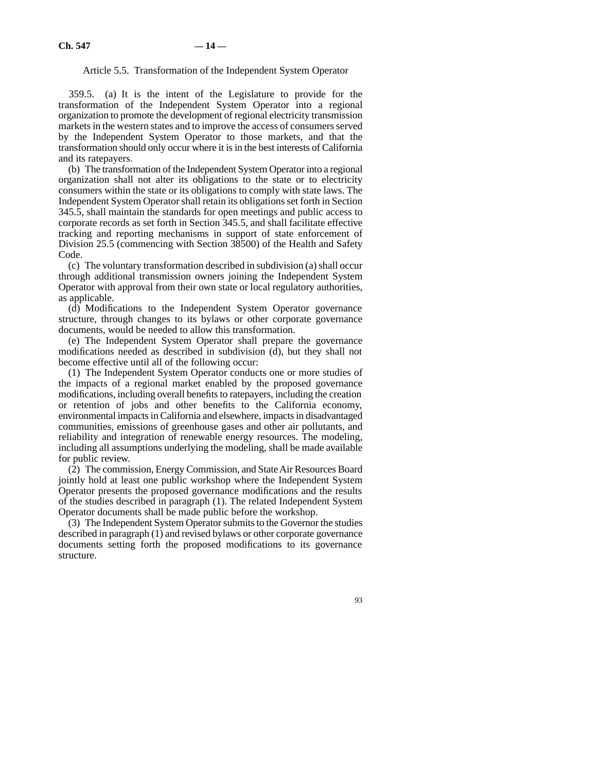# Article 5.5. Transformation of the Independent System Operator

359.5. (a) It is the intent of the Legislature to provide for the transformation of the Independent System Operator into a regional organization to promote the development of regional electricity transmission markets in the western states and to improve the access of consumers served by the Independent System Operator to those markets, and that the transformation should only occur where it is in the best interests of California and its ratepayers.

(b) The transformation of the Independent System Operator into a regional organization shall not alter its obligations to the state or to electricity consumers within the state or its obligations to comply with state laws. The Independent System Operator shall retain its obligations set forth in Section 345.5, shall maintain the standards for open meetings and public access to corporate records as set forth in Section 345.5, and shall facilitate effective tracking and reporting mechanisms in support of state enforcement of Division 25.5 (commencing with Section 38500) of the Health and Safety Code.

(c) The voluntary transformation described in subdivision (a) shall occur through additional transmission owners joining the Independent System Operator with approval from their own state or local regulatory authorities, as applicable.

(d) Modifications to the Independent System Operator governance structure, through changes to its bylaws or other corporate governance documents, would be needed to allow this transformation.

(e) The Independent System Operator shall prepare the governance modifications needed as described in subdivision (d), but they shall not become effective until all of the following occur:

(1) The Independent System Operator conducts one or more studies of the impacts of a regional market enabled by the proposed governance modifications, including overall benefits to ratepayers, including the creation or retention of jobs and other benefits to the California economy, environmental impacts in California and elsewhere, impacts in disadvantaged communities, emissions of greenhouse gases and other air pollutants, and reliability and integration of renewable energy resources. The modeling, including all assumptions underlying the modeling, shall be made available for public review.

(2) The commission, Energy Commission, and State Air Resources Board jointly hold at least one public workshop where the Independent System Operator presents the proposed governance modifications and the results of the studies described in paragraph (1). The related Independent System Operator documents shall be made public before the workshop.

(3) The Independent System Operator submits to the Governor the studies described in paragraph (1) and revised bylaws or other corporate governance documents setting forth the proposed modifications to its governance structure.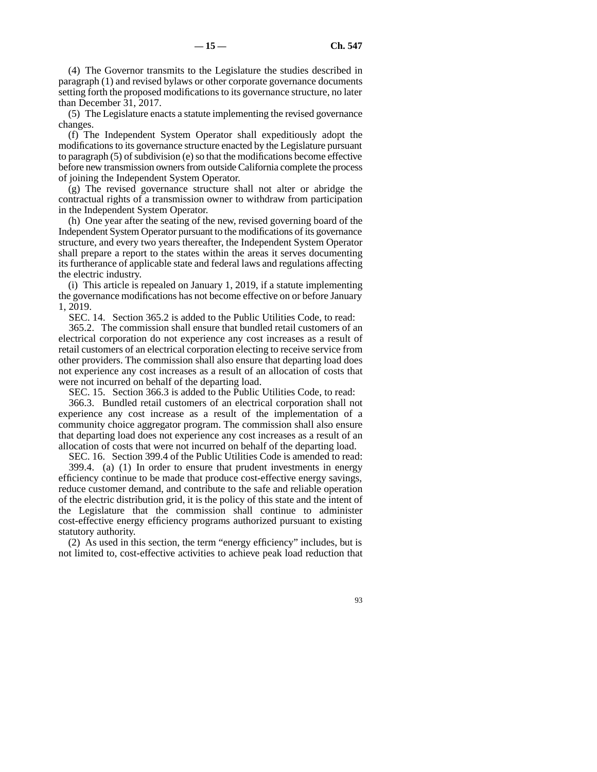(4) The Governor transmits to the Legislature the studies described in paragraph (1) and revised bylaws or other corporate governance documents setting forth the proposed modifications to its governance structure, no later than December 31, 2017.

(5) The Legislature enacts a statute implementing the revised governance changes.

(f) The Independent System Operator shall expeditiously adopt the modifications to its governance structure enacted by the Legislature pursuant to paragraph (5) of subdivision (e) so that the modifications become effective before new transmission owners from outside California complete the process of joining the Independent System Operator.

(g) The revised governance structure shall not alter or abridge the contractual rights of a transmission owner to withdraw from participation in the Independent System Operator.

(h) One year after the seating of the new, revised governing board of the Independent System Operator pursuant to the modifications of its governance structure, and every two years thereafter, the Independent System Operator shall prepare a report to the states within the areas it serves documenting its furtherance of applicable state and federal laws and regulations affecting the electric industry.

(i) This article is repealed on January 1, 2019, if a statute implementing the governance modifications has not become effective on or before January 1, 2019.

SEC. 14. Section 365.2 is added to the Public Utilities Code, to read:

365.2. The commission shall ensure that bundled retail customers of an electrical corporation do not experience any cost increases as a result of retail customers of an electrical corporation electing to receive service from other providers. The commission shall also ensure that departing load does not experience any cost increases as a result of an allocation of costs that were not incurred on behalf of the departing load.

SEC. 15. Section 366.3 is added to the Public Utilities Code, to read:

366.3. Bundled retail customers of an electrical corporation shall not experience any cost increase as a result of the implementation of a community choice aggregator program. The commission shall also ensure that departing load does not experience any cost increases as a result of an allocation of costs that were not incurred on behalf of the departing load.

SEC. 16. Section 399.4 of the Public Utilities Code is amended to read:

 $399.4.$  (a) (1) In order to ensure that prudent investments in energy efficiency continue to be made that produce cost-effective energy savings, reduce customer demand, and contribute to the safe and reliable operation of the electric distribution grid, it is the policy of this state and the intent of the Legislature that the commission shall continue to administer cost-effective energy efficiency programs authorized pursuant to existing statutory authority.

(2) As used in this section, the term "energy efficiency" includes, but is not limited to, cost-effective activities to achieve peak load reduction that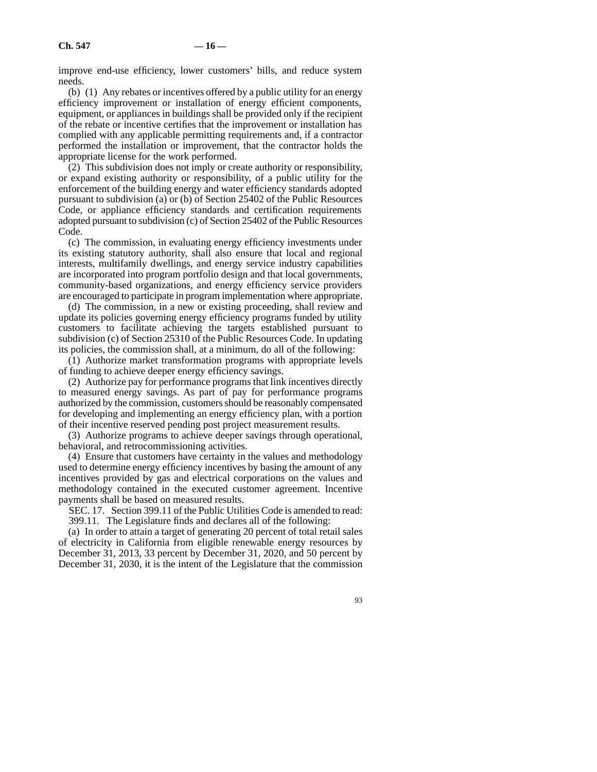improve end-use efficiency, lower customers' bills, and reduce system needs.

(b) (1) Any rebates or incentives offered by a public utility for an energy efficiency improvement or installation of energy efficient components, equipment, or appliances in buildings shall be provided only if the recipient of the rebate or incentive certifies that the improvement or installation has complied with any applicable permitting requirements and, if a contractor performed the installation or improvement, that the contractor holds the appropriate license for the work performed.

(2) This subdivision does not imply or create authority or responsibility, or expand existing authority or responsibility, of a public utility for the enforcement of the building energy and water efficiency standards adopted pursuant to subdivision (a) or (b) of Section 25402 of the Public Resources Code, or appliance efficiency standards and certification requirements adopted pursuant to subdivision (c) of Section 25402 of the Public Resources Code.

(c) The commission, in evaluating energy efficiency investments under its existing statutory authority, shall also ensure that local and regional interests, multifamily dwellings, and energy service industry capabilities are incorporated into program portfolio design and that local governments, community-based organizations, and energy efficiency service providers are encouraged to participate in program implementation where appropriate.

(d) The commission, in a new or existing proceeding, shall review and update its policies governing energy efficiency programs funded by utility customers to facilitate achieving the targets established pursuant to subdivision (c) of Section 25310 of the Public Resources Code. In updating its policies, the commission shall, at a minimum, do all of the following:

(1) Authorize market transformation programs with appropriate levels of funding to achieve deeper energy efficiency savings.

(2) Authorize pay for performance programs that link incentives directly to measured energy savings. As part of pay for performance programs authorized by the commission, customers should be reasonably compensated for developing and implementing an energy efficiency plan, with a portion of their incentive reserved pending post project measurement results.

(3) Authorize programs to achieve deeper savings through operational, behavioral, and retrocommissioning activities.

(4) Ensure that customers have certainty in the values and methodology used to determine energy efficiency incentives by basing the amount of any incentives provided by gas and electrical corporations on the values and methodology contained in the executed customer agreement. Incentive payments shall be based on measured results.

SEC. 17. Section 399.11 of the Public Utilities Code is amended to read: 399.11. The Legislature finds and declares all of the following:

(a) In order to attain a target of generating 20 percent of total retail sales of electricity in California from eligible renewable energy resources by December 31, 2013, 33 percent by December 31, 2020, and 50 percent by December 31, 2030, it is the intent of the Legislature that the commission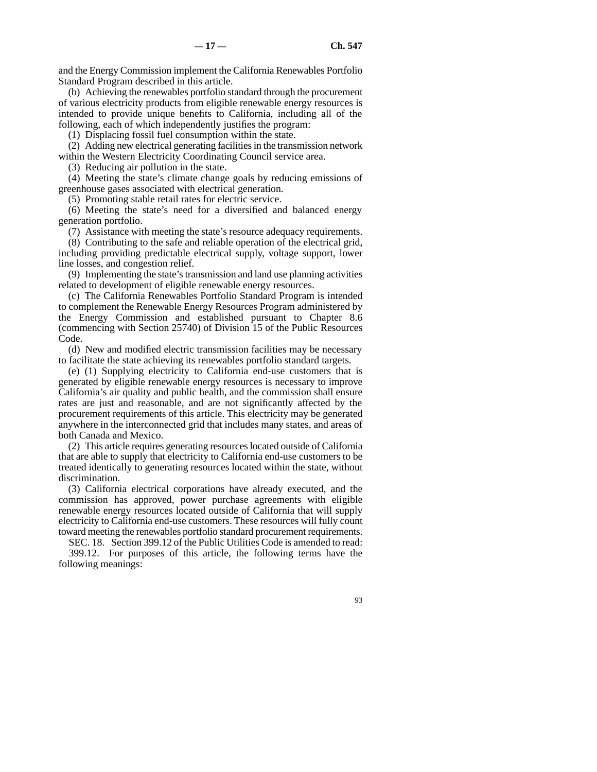and the Energy Commission implement the California Renewables Portfolio Standard Program described in this article.

(b) Achieving the renewables portfolio standard through the procurement of various electricity products from eligible renewable energy resources is intended to provide unique benefits to California, including all of the following, each of which independently justifies the program:

(1) Displacing fossil fuel consumption within the state.

(2) Adding new electrical generating facilities in the transmission network within the Western Electricity Coordinating Council service area.

(3) Reducing air pollution in the state.

(4) Meeting the state's climate change goals by reducing emissions of greenhouse gases associated with electrical generation.

(5) Promoting stable retail rates for electric service.

(6) Meeting the state's need for a diversified and balanced energy generation portfolio.

(7) Assistance with meeting the state's resource adequacy requirements.

(8) Contributing to the safe and reliable operation of the electrical grid, including providing predictable electrical supply, voltage support, lower line losses, and congestion relief.

(9) Implementing the state's transmission and land use planning activities related to development of eligible renewable energy resources.

(c) The California Renewables Portfolio Standard Program is intended to complement the Renewable Energy Resources Program administered by the Energy Commission and established pursuant to Chapter 8.6 (commencing with Section 25740) of Division 15 of the Public Resources Code.

(d) New and modified electric transmission facilities may be necessary to facilitate the state achieving its renewables portfolio standard targets.

(e) (1) Supplying electricity to California end-use customers that is generated by eligible renewable energy resources is necessary to improve California's air quality and public health, and the commission shall ensure rates are just and reasonable, and are not significantly affected by the procurement requirements of this article. This electricity may be generated anywhere in the interconnected grid that includes many states, and areas of both Canada and Mexico.

(2) This article requires generating resources located outside of California that are able to supply that electricity to California end-use customers to be treated identically to generating resources located within the state, without discrimination.

(3) California electrical corporations have already executed, and the commission has approved, power purchase agreements with eligible renewable energy resources located outside of California that will supply electricity to California end-use customers. These resources will fully count toward meeting the renewables portfolio standard procurement requirements.

SEC. 18. Section 399.12 of the Public Utilities Code is amended to read: 399.12. For purposes of this article, the following terms have the following meanings: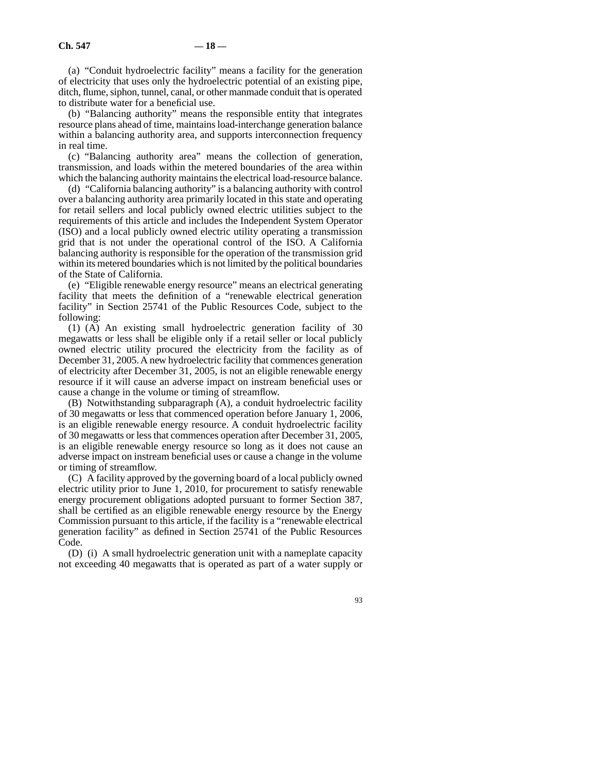(a) "Conduit hydroelectric facility" means a facility for the generation of electricity that uses only the hydroelectric potential of an existing pipe, ditch, flume, siphon, tunnel, canal, or other manmade conduit that is operated to distribute water for a beneficial use.

(b) "Balancing authority" means the responsible entity that integrates resource plans ahead of time, maintains load-interchange generation balance within a balancing authority area, and supports interconnection frequency in real time.

(c) "Balancing authority area" means the collection of generation, transmission, and loads within the metered boundaries of the area within which the balancing authority maintains the electrical load-resource balance.

(d) "California balancing authority" is a balancing authority with control over a balancing authority area primarily located in this state and operating for retail sellers and local publicly owned electric utilities subject to the requirements of this article and includes the Independent System Operator (ISO) and a local publicly owned electric utility operating a transmission grid that is not under the operational control of the ISO. A California balancing authority is responsible for the operation of the transmission grid within its metered boundaries which is not limited by the political boundaries of the State of California.

(e) "Eligible renewable energy resource" means an electrical generating facility that meets the definition of a "renewable electrical generation facility" in Section 25741 of the Public Resources Code, subject to the following:

(1) (A) An existing small hydroelectric generation facility of 30 megawatts or less shall be eligible only if a retail seller or local publicly owned electric utility procured the electricity from the facility as of December 31, 2005. A new hydroelectric facility that commences generation of electricity after December 31, 2005, is not an eligible renewable energy resource if it will cause an adverse impact on instream beneficial uses or cause a change in the volume or timing of streamflow.

(B) Notwithstanding subparagraph (A), a conduit hydroelectric facility of 30 megawatts or less that commenced operation before January 1, 2006, is an eligible renewable energy resource. A conduit hydroelectric facility of 30 megawatts or less that commences operation after December 31, 2005, is an eligible renewable energy resource so long as it does not cause an adverse impact on instream beneficial uses or cause a change in the volume or timing of streamflow.

(C) A facility approved by the governing board of a local publicly owned electric utility prior to June 1, 2010, for procurement to satisfy renewable energy procurement obligations adopted pursuant to former Section 387, shall be certified as an eligible renewable energy resource by the Energy Commission pursuant to this article, if the facility is a "renewable electrical generation facility" as defined in Section 25741 of the Public Resources Code.

(D) (i) A small hydroelectric generation unit with a nameplate capacity not exceeding 40 megawatts that is operated as part of a water supply or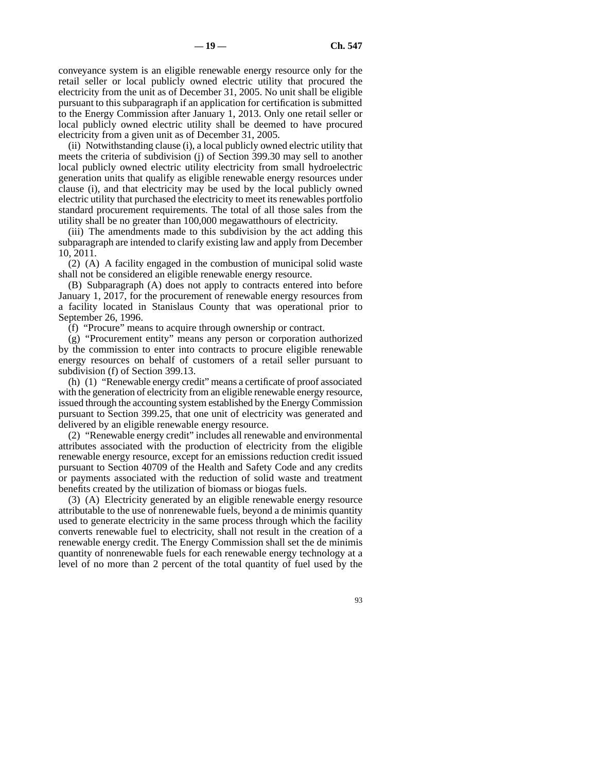conveyance system is an eligible renewable energy resource only for the retail seller or local publicly owned electric utility that procured the electricity from the unit as of December 31, 2005. No unit shall be eligible pursuant to this subparagraph if an application for certification is submitted to the Energy Commission after January 1, 2013. Only one retail seller or local publicly owned electric utility shall be deemed to have procured electricity from a given unit as of December 31, 2005.

(ii) Notwithstanding clause (i), a local publicly owned electric utility that meets the criteria of subdivision (j) of Section 399.30 may sell to another local publicly owned electric utility electricity from small hydroelectric generation units that qualify as eligible renewable energy resources under clause (i), and that electricity may be used by the local publicly owned electric utility that purchased the electricity to meet its renewables portfolio standard procurement requirements. The total of all those sales from the utility shall be no greater than 100,000 megawatthours of electricity.

(iii) The amendments made to this subdivision by the act adding this subparagraph are intended to clarify existing law and apply from December 10, 2011.

(2) (A) A facility engaged in the combustion of municipal solid waste shall not be considered an eligible renewable energy resource.

(B) Subparagraph (A) does not apply to contracts entered into before January 1, 2017, for the procurement of renewable energy resources from a facility located in Stanislaus County that was operational prior to September 26, 1996.

(f) "Procure" means to acquire through ownership or contract.

(g) "Procurement entity" means any person or corporation authorized by the commission to enter into contracts to procure eligible renewable energy resources on behalf of customers of a retail seller pursuant to subdivision (f) of Section 399.13.

(h) (1) "Renewable energy credit" means a certificate of proof associated with the generation of electricity from an eligible renewable energy resource, issued through the accounting system established by the Energy Commission pursuant to Section 399.25, that one unit of electricity was generated and delivered by an eligible renewable energy resource.

(2) "Renewable energy credit" includes all renewable and environmental attributes associated with the production of electricity from the eligible renewable energy resource, except for an emissions reduction credit issued pursuant to Section 40709 of the Health and Safety Code and any credits or payments associated with the reduction of solid waste and treatment benefits created by the utilization of biomass or biogas fuels.

(3) (A) Electricity generated by an eligible renewable energy resource attributable to the use of nonrenewable fuels, beyond a de minimis quantity used to generate electricity in the same process through which the facility converts renewable fuel to electricity, shall not result in the creation of a renewable energy credit. The Energy Commission shall set the de minimis quantity of nonrenewable fuels for each renewable energy technology at a level of no more than 2 percent of the total quantity of fuel used by the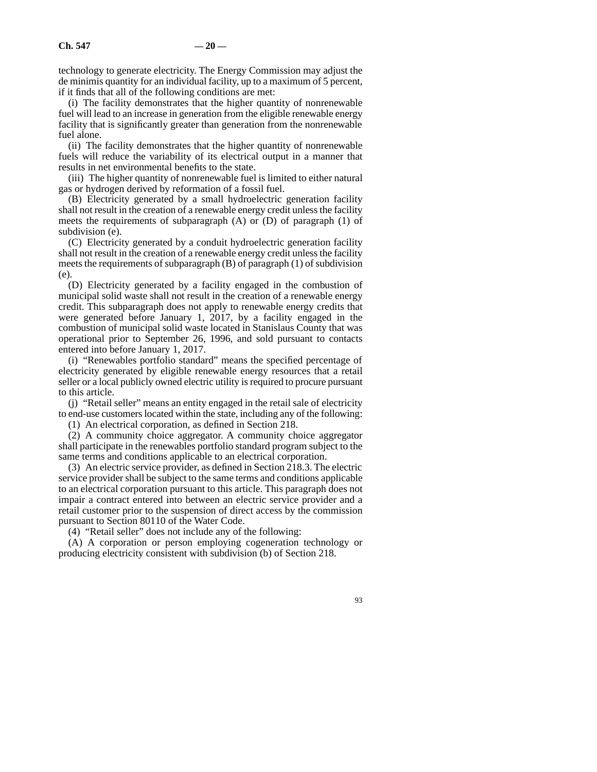technology to generate electricity. The Energy Commission may adjust the de minimis quantity for an individual facility, up to a maximum of 5 percent, if it finds that all of the following conditions are met:

(i) The facility demonstrates that the higher quantity of nonrenewable fuel will lead to an increase in generation from the eligible renewable energy facility that is significantly greater than generation from the nonrenewable fuel alone.

(ii) The facility demonstrates that the higher quantity of nonrenewable fuels will reduce the variability of its electrical output in a manner that results in net environmental benefits to the state.

(iii) The higher quantity of nonrenewable fuel is limited to either natural gas or hydrogen derived by reformation of a fossil fuel.

(B) Electricity generated by a small hydroelectric generation facility shall not result in the creation of a renewable energy credit unless the facility meets the requirements of subparagraph (A) or (D) of paragraph (1) of subdivision (e).

(C) Electricity generated by a conduit hydroelectric generation facility shall not result in the creation of a renewable energy credit unless the facility meets the requirements of subparagraph (B) of paragraph (1) of subdivision (e).

(D) Electricity generated by a facility engaged in the combustion of municipal solid waste shall not result in the creation of a renewable energy credit. This subparagraph does not apply to renewable energy credits that were generated before January 1, 2017, by a facility engaged in the combustion of municipal solid waste located in Stanislaus County that was operational prior to September 26, 1996, and sold pursuant to contacts entered into before January 1, 2017.

(i) "Renewables portfolio standard" means the specified percentage of electricity generated by eligible renewable energy resources that a retail seller or a local publicly owned electric utility is required to procure pursuant to this article.

(j) "Retail seller" means an entity engaged in the retail sale of electricity to end-use customers located within the state, including any of the following:

(1) An electrical corporation, as defined in Section 218.

(2) A community choice aggregator. A community choice aggregator shall participate in the renewables portfolio standard program subject to the same terms and conditions applicable to an electrical corporation.

(3) An electric service provider, as defined in Section 218.3. The electric service provider shall be subject to the same terms and conditions applicable to an electrical corporation pursuant to this article. This paragraph does not impair a contract entered into between an electric service provider and a retail customer prior to the suspension of direct access by the commission pursuant to Section 80110 of the Water Code.

(4) "Retail seller" does not include any of the following:

(A) A corporation or person employing cogeneration technology or producing electricity consistent with subdivision (b) of Section 218.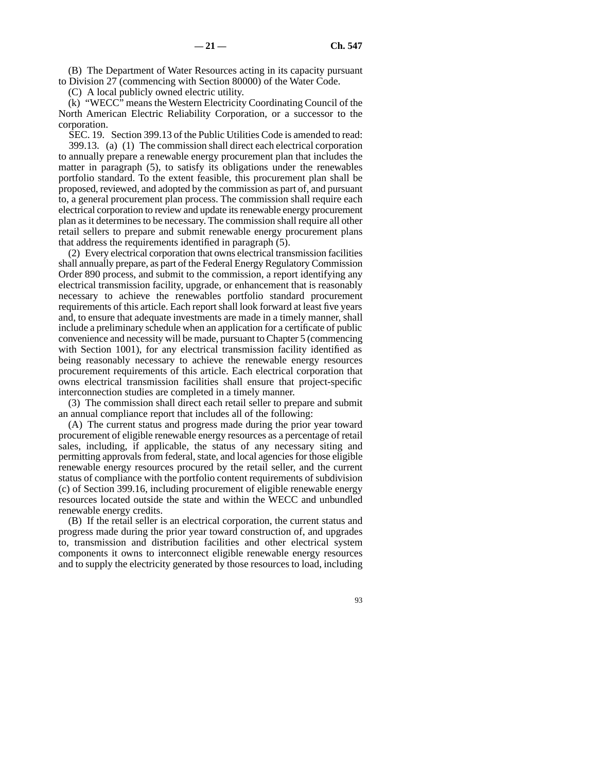(B) The Department of Water Resources acting in its capacity pursuant to Division 27 (commencing with Section 80000) of the Water Code.

(C) A local publicly owned electric utility.

(k) "WECC" means the Western Electricity Coordinating Council of the North American Electric Reliability Corporation, or a successor to the corporation.

SEC. 19. Section 399.13 of the Public Utilities Code is amended to read: 399.13. (a) (1) The commission shall direct each electrical corporation to annually prepare a renewable energy procurement plan that includes the matter in paragraph (5), to satisfy its obligations under the renewables portfolio standard. To the extent feasible, this procurement plan shall be proposed, reviewed, and adopted by the commission as part of, and pursuant to, a general procurement plan process. The commission shall require each electrical corporation to review and update its renewable energy procurement plan as it determines to be necessary. The commission shall require all other retail sellers to prepare and submit renewable energy procurement plans that address the requirements identified in paragraph (5).

(2) Every electrical corporation that owns electrical transmission facilities shall annually prepare, as part of the Federal Energy Regulatory Commission Order 890 process, and submit to the commission, a report identifying any electrical transmission facility, upgrade, or enhancement that is reasonably necessary to achieve the renewables portfolio standard procurement requirements of this article. Each report shall look forward at least five years and, to ensure that adequate investments are made in a timely manner, shall include a preliminary schedule when an application for a certificate of public convenience and necessity will be made, pursuant to Chapter 5 (commencing with Section 1001), for any electrical transmission facility identified as being reasonably necessary to achieve the renewable energy resources procurement requirements of this article. Each electrical corporation that owns electrical transmission facilities shall ensure that project-specific interconnection studies are completed in a timely manner.

(3) The commission shall direct each retail seller to prepare and submit an annual compliance report that includes all of the following:

(A) The current status and progress made during the prior year toward procurement of eligible renewable energy resources as a percentage of retail sales, including, if applicable, the status of any necessary siting and permitting approvals from federal, state, and local agencies for those eligible renewable energy resources procured by the retail seller, and the current status of compliance with the portfolio content requirements of subdivision (c) of Section 399.16, including procurement of eligible renewable energy resources located outside the state and within the WECC and unbundled renewable energy credits.

(B) If the retail seller is an electrical corporation, the current status and progress made during the prior year toward construction of, and upgrades to, transmission and distribution facilities and other electrical system components it owns to interconnect eligible renewable energy resources and to supply the electricity generated by those resources to load, including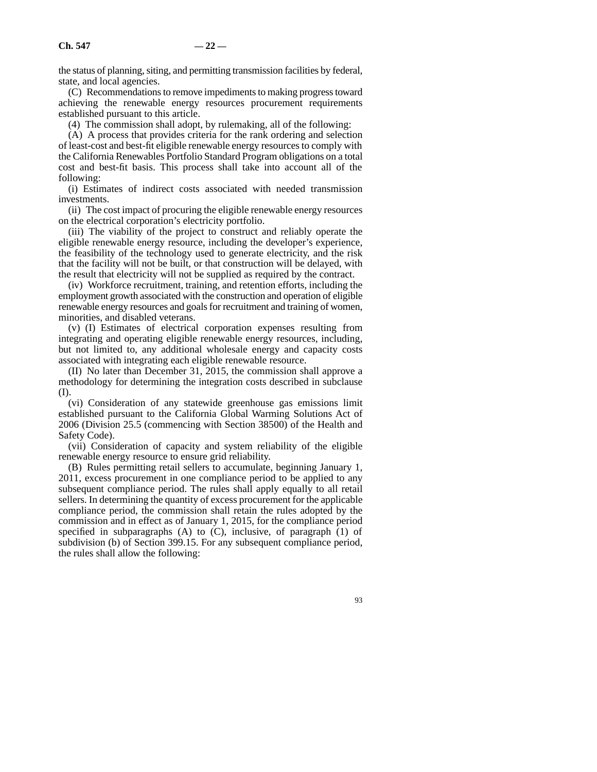the status of planning, siting, and permitting transmission facilities by federal, state, and local agencies.

(C) Recommendations to remove impediments to making progress toward achieving the renewable energy resources procurement requirements established pursuant to this article.

(4) The commission shall adopt, by rulemaking, all of the following:

(A) A process that provides criteria for the rank ordering and selection of least-cost and best-fit eligible renewable energy resources to comply with the California Renewables Portfolio Standard Program obligations on a total cost and best-fit basis. This process shall take into account all of the following:

(i) Estimates of indirect costs associated with needed transmission investments.

(ii) The cost impact of procuring the eligible renewable energy resources on the electrical corporation's electricity portfolio.

(iii) The viability of the project to construct and reliably operate the eligible renewable energy resource, including the developer's experience, the feasibility of the technology used to generate electricity, and the risk that the facility will not be built, or that construction will be delayed, with the result that electricity will not be supplied as required by the contract.

(iv) Workforce recruitment, training, and retention efforts, including the employment growth associated with the construction and operation of eligible renewable energy resources and goals for recruitment and training of women, minorities, and disabled veterans.

(v) (I) Estimates of electrical corporation expenses resulting from integrating and operating eligible renewable energy resources, including, but not limited to, any additional wholesale energy and capacity costs associated with integrating each eligible renewable resource.

(II) No later than December 31, 2015, the commission shall approve a methodology for determining the integration costs described in subclause (I).

(vi) Consideration of any statewide greenhouse gas emissions limit established pursuant to the California Global Warming Solutions Act of 2006 (Division 25.5 (commencing with Section 38500) of the Health and Safety Code).

(vii) Consideration of capacity and system reliability of the eligible renewable energy resource to ensure grid reliability.

(B) Rules permitting retail sellers to accumulate, beginning January 1, 2011, excess procurement in one compliance period to be applied to any subsequent compliance period. The rules shall apply equally to all retail sellers. In determining the quantity of excess procurement for the applicable compliance period, the commission shall retain the rules adopted by the commission and in effect as of January 1, 2015, for the compliance period specified in subparagraphs  $(A)$  to  $(C)$ , inclusive, of paragraph  $(1)$  of subdivision (b) of Section 399.15. For any subsequent compliance period, the rules shall allow the following: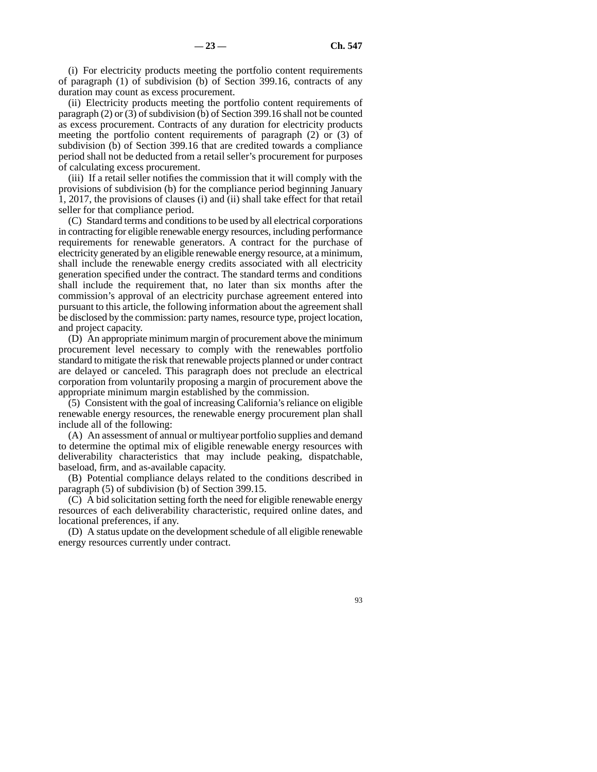(i) For electricity products meeting the portfolio content requirements of paragraph (1) of subdivision (b) of Section 399.16, contracts of any duration may count as excess procurement.

(ii) Electricity products meeting the portfolio content requirements of paragraph (2) or (3) of subdivision (b) of Section 399.16 shall not be counted as excess procurement. Contracts of any duration for electricity products meeting the portfolio content requirements of paragraph (2) or (3) of subdivision (b) of Section 399.16 that are credited towards a compliance period shall not be deducted from a retail seller's procurement for purposes of calculating excess procurement.

(iii) If a retail seller notifies the commission that it will comply with the provisions of subdivision (b) for the compliance period beginning January 1, 2017, the provisions of clauses (i) and (ii) shall take effect for that retail seller for that compliance period.

(C) Standard terms and conditions to be used by all electrical corporations in contracting for eligible renewable energy resources, including performance requirements for renewable generators. A contract for the purchase of electricity generated by an eligible renewable energy resource, at a minimum, shall include the renewable energy credits associated with all electricity generation specified under the contract. The standard terms and conditions shall include the requirement that, no later than six months after the commission's approval of an electricity purchase agreement entered into pursuant to this article, the following information about the agreement shall be disclosed by the commission: party names, resource type, project location, and project capacity.

(D) An appropriate minimum margin of procurement above the minimum procurement level necessary to comply with the renewables portfolio standard to mitigate the risk that renewable projects planned or under contract are delayed or canceled. This paragraph does not preclude an electrical corporation from voluntarily proposing a margin of procurement above the appropriate minimum margin established by the commission.

(5) Consistent with the goal of increasing California's reliance on eligible renewable energy resources, the renewable energy procurement plan shall include all of the following:

(A) An assessment of annual or multiyear portfolio supplies and demand to determine the optimal mix of eligible renewable energy resources with deliverability characteristics that may include peaking, dispatchable, baseload, firm, and as-available capacity.

(B) Potential compliance delays related to the conditions described in paragraph (5) of subdivision (b) of Section 399.15.

(C) A bid solicitation setting forth the need for eligible renewable energy resources of each deliverability characteristic, required online dates, and locational preferences, if any.

(D) A status update on the development schedule of all eligible renewable energy resources currently under contract.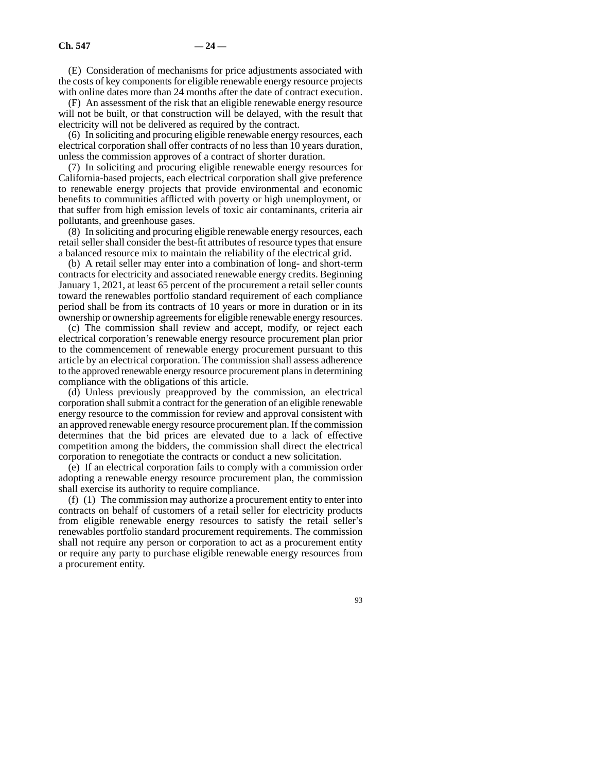(E) Consideration of mechanisms for price adjustments associated with the costs of key components for eligible renewable energy resource projects with online dates more than 24 months after the date of contract execution.

(F) An assessment of the risk that an eligible renewable energy resource will not be built, or that construction will be delayed, with the result that electricity will not be delivered as required by the contract.

(6) In soliciting and procuring eligible renewable energy resources, each electrical corporation shall offer contracts of no less than 10 years duration, unless the commission approves of a contract of shorter duration.

(7) In soliciting and procuring eligible renewable energy resources for California-based projects, each electrical corporation shall give preference to renewable energy projects that provide environmental and economic benefits to communities afflicted with poverty or high unemployment, or that suffer from high emission levels of toxic air contaminants, criteria air pollutants, and greenhouse gases.

(8) In soliciting and procuring eligible renewable energy resources, each retail seller shall consider the best-fit attributes of resource types that ensure a balanced resource mix to maintain the reliability of the electrical grid.

(b) A retail seller may enter into a combination of long- and short-term contracts for electricity and associated renewable energy credits. Beginning January 1, 2021, at least 65 percent of the procurement a retail seller counts toward the renewables portfolio standard requirement of each compliance period shall be from its contracts of 10 years or more in duration or in its ownership or ownership agreements for eligible renewable energy resources.

(c) The commission shall review and accept, modify, or reject each electrical corporation's renewable energy resource procurement plan prior to the commencement of renewable energy procurement pursuant to this article by an electrical corporation. The commission shall assess adherence to the approved renewable energy resource procurement plans in determining compliance with the obligations of this article.

(d) Unless previously preapproved by the commission, an electrical corporation shall submit a contract for the generation of an eligible renewable energy resource to the commission for review and approval consistent with an approved renewable energy resource procurement plan. If the commission determines that the bid prices are elevated due to a lack of effective competition among the bidders, the commission shall direct the electrical corporation to renegotiate the contracts or conduct a new solicitation.

(e) If an electrical corporation fails to comply with a commission order adopting a renewable energy resource procurement plan, the commission shall exercise its authority to require compliance.

(f) (1) The commission may authorize a procurement entity to enter into contracts on behalf of customers of a retail seller for electricity products from eligible renewable energy resources to satisfy the retail seller's renewables portfolio standard procurement requirements. The commission shall not require any person or corporation to act as a procurement entity or require any party to purchase eligible renewable energy resources from a procurement entity.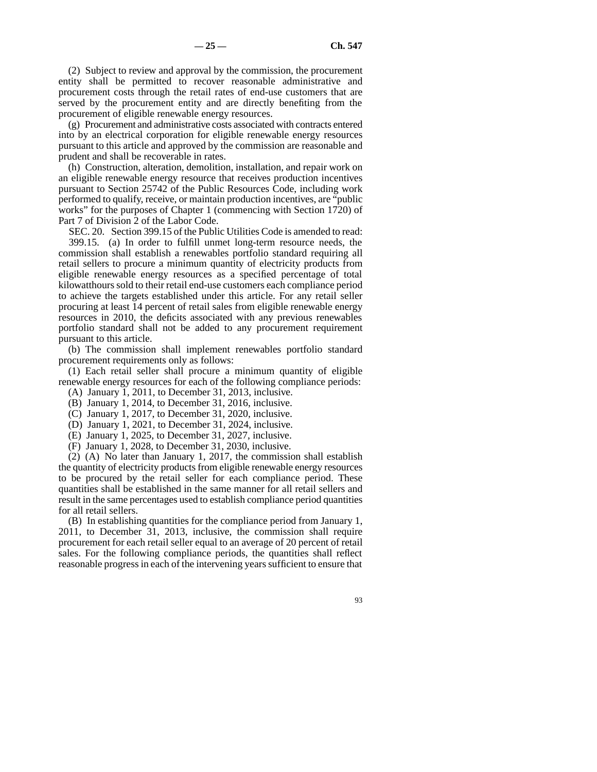(2) Subject to review and approval by the commission, the procurement entity shall be permitted to recover reasonable administrative and procurement costs through the retail rates of end-use customers that are served by the procurement entity and are directly benefiting from the procurement of eligible renewable energy resources.

(g) Procurement and administrative costs associated with contracts entered into by an electrical corporation for eligible renewable energy resources pursuant to this article and approved by the commission are reasonable and prudent and shall be recoverable in rates.

(h) Construction, alteration, demolition, installation, and repair work on an eligible renewable energy resource that receives production incentives pursuant to Section 25742 of the Public Resources Code, including work performed to qualify, receive, or maintain production incentives, are "public works" for the purposes of Chapter 1 (commencing with Section 1720) of Part 7 of Division 2 of the Labor Code.

SEC. 20. Section 399.15 of the Public Utilities Code is amended to read: 399.15. (a) In order to fulfill unmet long-term resource needs, the commission shall establish a renewables portfolio standard requiring all retail sellers to procure a minimum quantity of electricity products from eligible renewable energy resources as a specified percentage of total kilowatthours sold to their retail end-use customers each compliance period to achieve the targets established under this article. For any retail seller procuring at least 14 percent of retail sales from eligible renewable energy resources in 2010, the deficits associated with any previous renewables portfolio standard shall not be added to any procurement requirement pursuant to this article.

(b) The commission shall implement renewables portfolio standard procurement requirements only as follows:

(1) Each retail seller shall procure a minimum quantity of eligible renewable energy resources for each of the following compliance periods:

- (A) January 1, 2011, to December 31, 2013, inclusive.
- (B) January 1, 2014, to December 31, 2016, inclusive.
- (C) January 1, 2017, to December 31, 2020, inclusive.
- (D) January 1, 2021, to December 31, 2024, inclusive.
- (E) January 1, 2025, to December 31, 2027, inclusive.
- (F) January 1, 2028, to December 31, 2030, inclusive.

(2) (A) No later than January 1, 2017, the commission shall establish the quantity of electricity products from eligible renewable energy resources to be procured by the retail seller for each compliance period. These quantities shall be established in the same manner for all retail sellers and result in the same percentages used to establish compliance period quantities for all retail sellers.

(B) In establishing quantities for the compliance period from January 1, 2011, to December 31, 2013, inclusive, the commission shall require procurement for each retail seller equal to an average of 20 percent of retail sales. For the following compliance periods, the quantities shall reflect reasonable progress in each of the intervening years sufficient to ensure that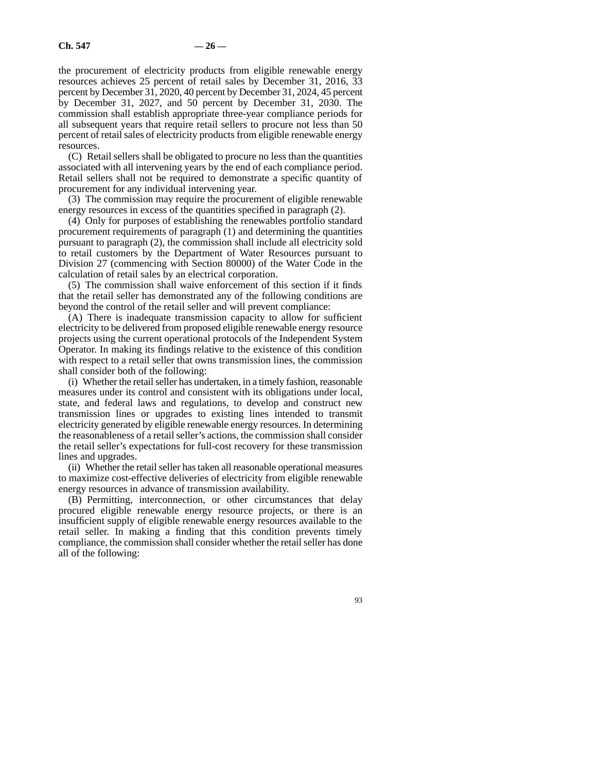the procurement of electricity products from eligible renewable energy resources achieves 25 percent of retail sales by December 31, 2016, 33 percent by December 31, 2020, 40 percent by December 31, 2024, 45 percent by December 31, 2027, and 50 percent by December 31, 2030. The commission shall establish appropriate three-year compliance periods for all subsequent years that require retail sellers to procure not less than 50 percent of retail sales of electricity products from eligible renewable energy resources.

(C) Retail sellers shall be obligated to procure no less than the quantities associated with all intervening years by the end of each compliance period. Retail sellers shall not be required to demonstrate a specific quantity of procurement for any individual intervening year.

(3) The commission may require the procurement of eligible renewable energy resources in excess of the quantities specified in paragraph (2).

(4) Only for purposes of establishing the renewables portfolio standard procurement requirements of paragraph (1) and determining the quantities pursuant to paragraph (2), the commission shall include all electricity sold to retail customers by the Department of Water Resources pursuant to Division 27 (commencing with Section 80000) of the Water Code in the calculation of retail sales by an electrical corporation.

(5) The commission shall waive enforcement of this section if it finds that the retail seller has demonstrated any of the following conditions are beyond the control of the retail seller and will prevent compliance:

(A) There is inadequate transmission capacity to allow for sufficient electricity to be delivered from proposed eligible renewable energy resource projects using the current operational protocols of the Independent System Operator. In making its findings relative to the existence of this condition with respect to a retail seller that owns transmission lines, the commission shall consider both of the following:

(i) Whether the retail seller has undertaken, in a timely fashion, reasonable measures under its control and consistent with its obligations under local, state, and federal laws and regulations, to develop and construct new transmission lines or upgrades to existing lines intended to transmit electricity generated by eligible renewable energy resources. In determining the reasonableness of a retail seller's actions, the commission shall consider the retail seller's expectations for full-cost recovery for these transmission lines and upgrades.

(ii) Whether the retail seller has taken all reasonable operational measures to maximize cost-effective deliveries of electricity from eligible renewable energy resources in advance of transmission availability.

(B) Permitting, interconnection, or other circumstances that delay procured eligible renewable energy resource projects, or there is an insufficient supply of eligible renewable energy resources available to the retail seller. In making a finding that this condition prevents timely compliance, the commission shall consider whether the retail seller has done all of the following: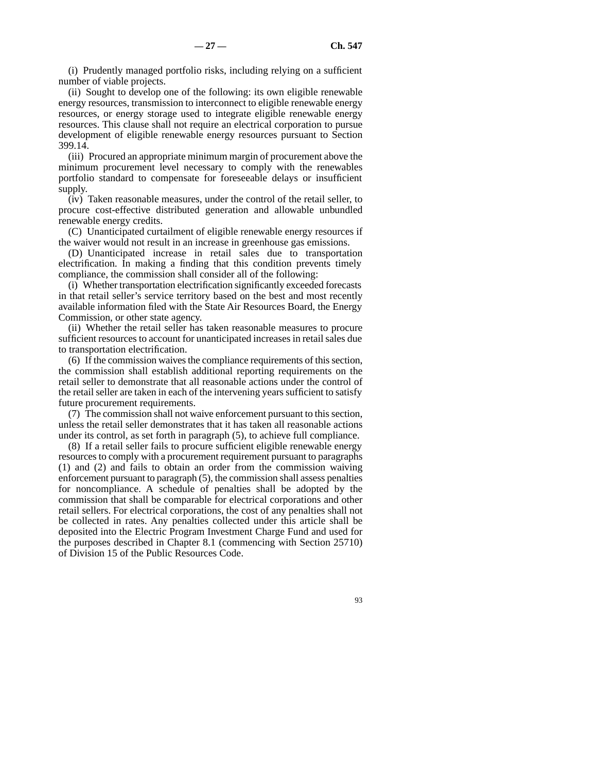(i) Prudently managed portfolio risks, including relying on a sufficient number of viable projects.

(ii) Sought to develop one of the following: its own eligible renewable energy resources, transmission to interconnect to eligible renewable energy resources, or energy storage used to integrate eligible renewable energy resources. This clause shall not require an electrical corporation to pursue development of eligible renewable energy resources pursuant to Section 399.14.

(iii) Procured an appropriate minimum margin of procurement above the minimum procurement level necessary to comply with the renewables portfolio standard to compensate for foreseeable delays or insufficient supply.

(iv) Taken reasonable measures, under the control of the retail seller, to procure cost-effective distributed generation and allowable unbundled renewable energy credits.

(C) Unanticipated curtailment of eligible renewable energy resources if the waiver would not result in an increase in greenhouse gas emissions.

(D) Unanticipated increase in retail sales due to transportation electrification. In making a finding that this condition prevents timely compliance, the commission shall consider all of the following:

(i) Whether transportation electrification significantly exceeded forecasts in that retail seller's service territory based on the best and most recently available information filed with the State Air Resources Board, the Energy Commission, or other state agency.

(ii) Whether the retail seller has taken reasonable measures to procure sufficient resources to account for unanticipated increases in retail sales due to transportation electrification.

(6) If the commission waives the compliance requirements of this section, the commission shall establish additional reporting requirements on the retail seller to demonstrate that all reasonable actions under the control of the retail seller are taken in each of the intervening years sufficient to satisfy future procurement requirements.

(7) The commission shall not waive enforcement pursuant to this section, unless the retail seller demonstrates that it has taken all reasonable actions under its control, as set forth in paragraph (5), to achieve full compliance.

(8) If a retail seller fails to procure sufficient eligible renewable energy resources to comply with a procurement requirement pursuant to paragraphs (1) and (2) and fails to obtain an order from the commission waiving enforcement pursuant to paragraph (5), the commission shall assess penalties for noncompliance. A schedule of penalties shall be adopted by the commission that shall be comparable for electrical corporations and other retail sellers. For electrical corporations, the cost of any penalties shall not be collected in rates. Any penalties collected under this article shall be deposited into the Electric Program Investment Charge Fund and used for the purposes described in Chapter 8.1 (commencing with Section 25710) of Division 15 of the Public Resources Code.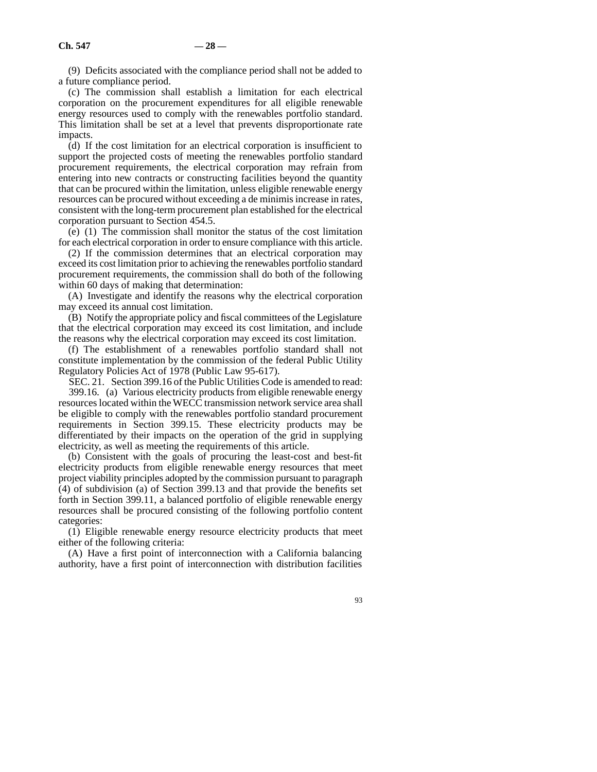(9) Deficits associated with the compliance period shall not be added to a future compliance period.

(c) The commission shall establish a limitation for each electrical corporation on the procurement expenditures for all eligible renewable energy resources used to comply with the renewables portfolio standard. This limitation shall be set at a level that prevents disproportionate rate impacts.

(d) If the cost limitation for an electrical corporation is insufficient to support the projected costs of meeting the renewables portfolio standard procurement requirements, the electrical corporation may refrain from entering into new contracts or constructing facilities beyond the quantity that can be procured within the limitation, unless eligible renewable energy resources can be procured without exceeding a de minimis increase in rates, consistent with the long-term procurement plan established for the electrical corporation pursuant to Section 454.5.

(e) (1) The commission shall monitor the status of the cost limitation for each electrical corporation in order to ensure compliance with this article.

(2) If the commission determines that an electrical corporation may exceed its cost limitation prior to achieving the renewables portfolio standard procurement requirements, the commission shall do both of the following within 60 days of making that determination:

(A) Investigate and identify the reasons why the electrical corporation may exceed its annual cost limitation.

(B) Notify the appropriate policy and fiscal committees of the Legislature that the electrical corporation may exceed its cost limitation, and include the reasons why the electrical corporation may exceed its cost limitation.

(f) The establishment of a renewables portfolio standard shall not constitute implementation by the commission of the federal Public Utility Regulatory Policies Act of 1978 (Public Law 95-617).

SEC. 21. Section 399.16 of the Public Utilities Code is amended to read:

399.16. (a) Various electricity products from eligible renewable energy resources located within the WECC transmission network service area shall be eligible to comply with the renewables portfolio standard procurement requirements in Section 399.15. These electricity products may be differentiated by their impacts on the operation of the grid in supplying electricity, as well as meeting the requirements of this article.

(b) Consistent with the goals of procuring the least-cost and best-fit electricity products from eligible renewable energy resources that meet project viability principles adopted by the commission pursuant to paragraph (4) of subdivision (a) of Section 399.13 and that provide the benefits set forth in Section 399.11, a balanced portfolio of eligible renewable energy resources shall be procured consisting of the following portfolio content categories:

(1) Eligible renewable energy resource electricity products that meet either of the following criteria:

(A) Have a first point of interconnection with a California balancing authority, have a first point of interconnection with distribution facilities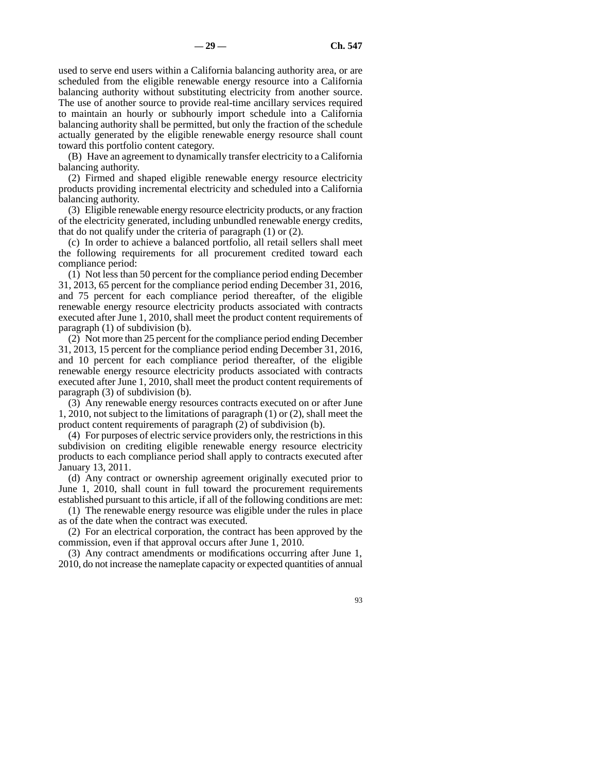used to serve end users within a California balancing authority area, or are scheduled from the eligible renewable energy resource into a California balancing authority without substituting electricity from another source. The use of another source to provide real-time ancillary services required to maintain an hourly or subhourly import schedule into a California balancing authority shall be permitted, but only the fraction of the schedule actually generated by the eligible renewable energy resource shall count toward this portfolio content category.

(B) Have an agreement to dynamically transfer electricity to a California balancing authority.

(2) Firmed and shaped eligible renewable energy resource electricity products providing incremental electricity and scheduled into a California balancing authority.

(3) Eligible renewable energy resource electricity products, or any fraction of the electricity generated, including unbundled renewable energy credits, that do not qualify under the criteria of paragraph (1) or (2).

(c) In order to achieve a balanced portfolio, all retail sellers shall meet the following requirements for all procurement credited toward each compliance period:

(1) Not less than 50 percent for the compliance period ending December 31, 2013, 65 percent for the compliance period ending December 31, 2016, and 75 percent for each compliance period thereafter, of the eligible renewable energy resource electricity products associated with contracts executed after June 1, 2010, shall meet the product content requirements of paragraph (1) of subdivision (b).

(2) Not more than 25 percent for the compliance period ending December 31, 2013, 15 percent for the compliance period ending December 31, 2016, and 10 percent for each compliance period thereafter, of the eligible renewable energy resource electricity products associated with contracts executed after June 1, 2010, shall meet the product content requirements of paragraph (3) of subdivision (b).

(3) Any renewable energy resources contracts executed on or after June 1, 2010, not subject to the limitations of paragraph (1) or (2), shall meet the product content requirements of paragraph (2) of subdivision (b).

(4) For purposes of electric service providers only, the restrictions in this subdivision on crediting eligible renewable energy resource electricity products to each compliance period shall apply to contracts executed after January 13, 2011.

(d) Any contract or ownership agreement originally executed prior to June 1, 2010, shall count in full toward the procurement requirements established pursuant to this article, if all of the following conditions are met:

(1) The renewable energy resource was eligible under the rules in place as of the date when the contract was executed.

(2) For an electrical corporation, the contract has been approved by the commission, even if that approval occurs after June 1, 2010.

(3) Any contract amendments or modifications occurring after June 1, 2010, do not increase the nameplate capacity or expected quantities of annual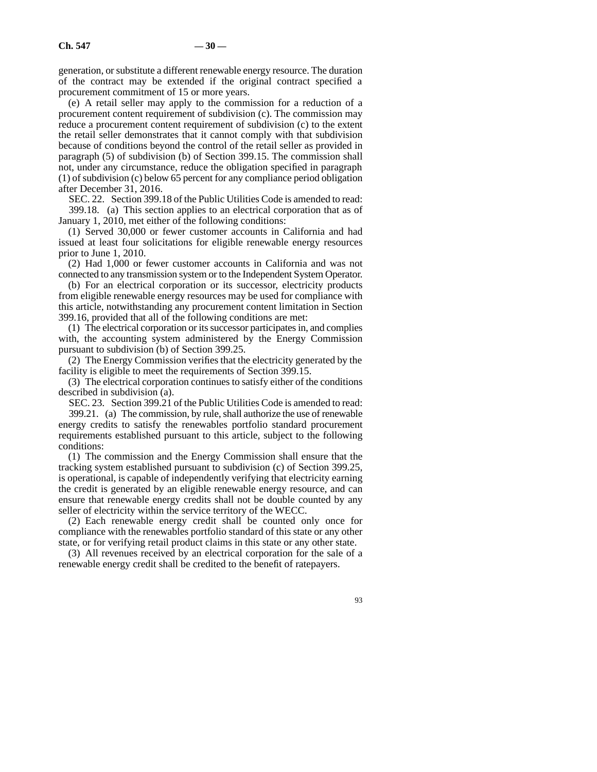generation, or substitute a different renewable energy resource. The duration of the contract may be extended if the original contract specified a procurement commitment of 15 or more years.

(e) A retail seller may apply to the commission for a reduction of a procurement content requirement of subdivision (c). The commission may reduce a procurement content requirement of subdivision (c) to the extent the retail seller demonstrates that it cannot comply with that subdivision because of conditions beyond the control of the retail seller as provided in paragraph (5) of subdivision (b) of Section 399.15. The commission shall not, under any circumstance, reduce the obligation specified in paragraph (1) of subdivision (c) below 65 percent for any compliance period obligation after December 31, 2016.

SEC. 22. Section 399.18 of the Public Utilities Code is amended to read: 399.18. (a) This section applies to an electrical corporation that as of January 1, 2010, met either of the following conditions:

(1) Served 30,000 or fewer customer accounts in California and had issued at least four solicitations for eligible renewable energy resources prior to June 1, 2010.

(2) Had 1,000 or fewer customer accounts in California and was not connected to any transmission system or to the Independent System Operator.

(b) For an electrical corporation or its successor, electricity products from eligible renewable energy resources may be used for compliance with this article, notwithstanding any procurement content limitation in Section 399.16, provided that all of the following conditions are met:

(1) The electrical corporation or its successor participates in, and complies with, the accounting system administered by the Energy Commission pursuant to subdivision (b) of Section 399.25.

(2) The Energy Commission verifies that the electricity generated by the facility is eligible to meet the requirements of Section 399.15.

(3) The electrical corporation continues to satisfy either of the conditions described in subdivision (a).

SEC. 23. Section 399.21 of the Public Utilities Code is amended to read: 399.21. (a) The commission, by rule, shall authorize the use of renewable energy credits to satisfy the renewables portfolio standard procurement requirements established pursuant to this article, subject to the following conditions:

(1) The commission and the Energy Commission shall ensure that the tracking system established pursuant to subdivision (c) of Section 399.25, is operational, is capable of independently verifying that electricity earning the credit is generated by an eligible renewable energy resource, and can ensure that renewable energy credits shall not be double counted by any seller of electricity within the service territory of the WECC.

(2) Each renewable energy credit shall be counted only once for compliance with the renewables portfolio standard of this state or any other state, or for verifying retail product claims in this state or any other state.

(3) All revenues received by an electrical corporation for the sale of a renewable energy credit shall be credited to the benefit of ratepayers.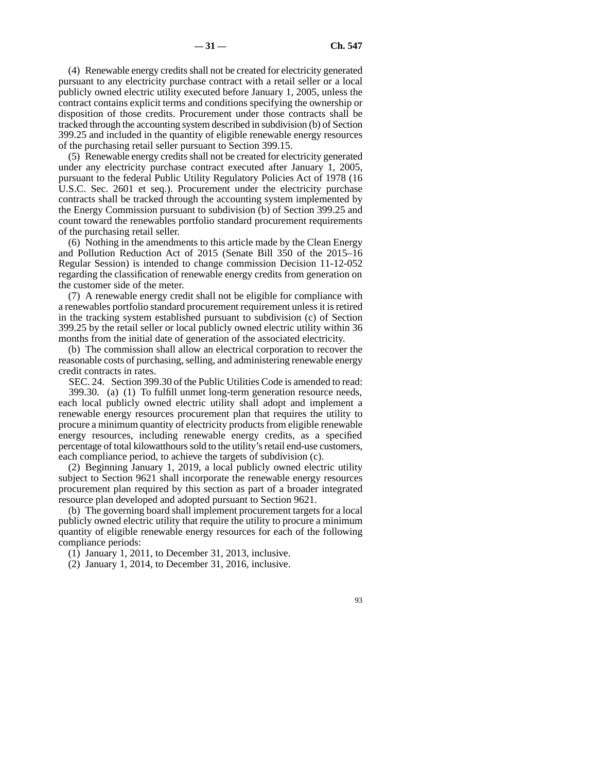(4) Renewable energy credits shall not be created for electricity generated pursuant to any electricity purchase contract with a retail seller or a local publicly owned electric utility executed before January 1, 2005, unless the contract contains explicit terms and conditions specifying the ownership or disposition of those credits. Procurement under those contracts shall be tracked through the accounting system described in subdivision (b) of Section 399.25 and included in the quantity of eligible renewable energy resources of the purchasing retail seller pursuant to Section 399.15.

(5) Renewable energy credits shall not be created for electricity generated under any electricity purchase contract executed after January 1, 2005, pursuant to the federal Public Utility Regulatory Policies Act of 1978 (16 U.S.C. Sec. 2601 et seq.). Procurement under the electricity purchase contracts shall be tracked through the accounting system implemented by the Energy Commission pursuant to subdivision (b) of Section 399.25 and count toward the renewables portfolio standard procurement requirements of the purchasing retail seller.

(6) Nothing in the amendments to this article made by the Clean Energy and Pollution Reduction Act of 2015 (Senate Bill 350 of the 2015–16 Regular Session) is intended to change commission Decision 11-12-052 regarding the classification of renewable energy credits from generation on the customer side of the meter.

(7) A renewable energy credit shall not be eligible for compliance with a renewables portfolio standard procurement requirement unless it is retired in the tracking system established pursuant to subdivision (c) of Section 399.25 by the retail seller or local publicly owned electric utility within 36 months from the initial date of generation of the associated electricity.

(b) The commission shall allow an electrical corporation to recover the reasonable costs of purchasing, selling, and administering renewable energy credit contracts in rates.

SEC. 24. Section 399.30 of the Public Utilities Code is amended to read:

399.30. (a) (1) To fulfill unmet long-term generation resource needs, each local publicly owned electric utility shall adopt and implement a renewable energy resources procurement plan that requires the utility to procure a minimum quantity of electricity products from eligible renewable energy resources, including renewable energy credits, as a specified percentage of total kilowatthours sold to the utility's retail end-use customers, each compliance period, to achieve the targets of subdivision (c).

(2) Beginning January 1, 2019, a local publicly owned electric utility subject to Section 9621 shall incorporate the renewable energy resources procurement plan required by this section as part of a broader integrated resource plan developed and adopted pursuant to Section 9621.

(b) The governing board shall implement procurement targets for a local publicly owned electric utility that require the utility to procure a minimum quantity of eligible renewable energy resources for each of the following compliance periods:

(1) January 1, 2011, to December 31, 2013, inclusive.

(2) January 1, 2014, to December 31, 2016, inclusive.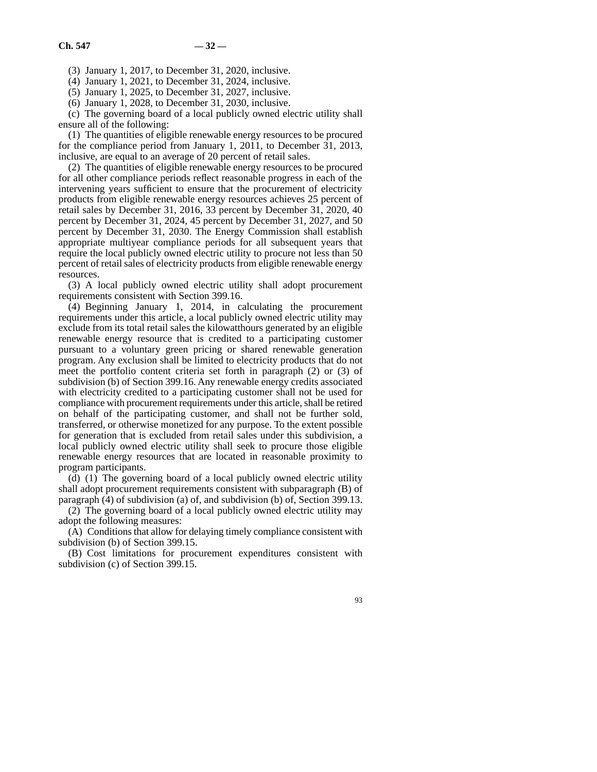(3) January 1, 2017, to December 31, 2020, inclusive.

(4) January 1, 2021, to December 31, 2024, inclusive.

(5) January 1, 2025, to December 31, 2027, inclusive.

(6) January 1, 2028, to December 31, 2030, inclusive.

(c) The governing board of a local publicly owned electric utility shall ensure all of the following:

(1) The quantities of eligible renewable energy resources to be procured for the compliance period from January 1, 2011, to December 31, 2013, inclusive, are equal to an average of 20 percent of retail sales.

(2) The quantities of eligible renewable energy resources to be procured for all other compliance periods reflect reasonable progress in each of the intervening years sufficient to ensure that the procurement of electricity products from eligible renewable energy resources achieves 25 percent of retail sales by December 31, 2016, 33 percent by December 31, 2020, 40 percent by December 31, 2024, 45 percent by December 31, 2027, and 50 percent by December 31, 2030. The Energy Commission shall establish appropriate multiyear compliance periods for all subsequent years that require the local publicly owned electric utility to procure not less than 50 percent of retail sales of electricity products from eligible renewable energy resources.

(3) A local publicly owned electric utility shall adopt procurement requirements consistent with Section 399.16.

 $(4)$  Beginning January 1, 2014, in calculating the procurement requirements under this article, a local publicly owned electric utility may exclude from its total retail sales the kilowatthours generated by an eligible renewable energy resource that is credited to a participating customer pursuant to a voluntary green pricing or shared renewable generation program. Any exclusion shall be limited to electricity products that do not meet the portfolio content criteria set forth in paragraph (2) or (3) of subdivision (b) of Section 399.16. Any renewable energy credits associated with electricity credited to a participating customer shall not be used for compliance with procurement requirements under this article, shall be retired on behalf of the participating customer, and shall not be further sold, transferred, or otherwise monetized for any purpose. To the extent possible for generation that is excluded from retail sales under this subdivision, a local publicly owned electric utility shall seek to procure those eligible renewable energy resources that are located in reasonable proximity to program participants.

(d) (1) The governing board of a local publicly owned electric utility shall adopt procurement requirements consistent with subparagraph (B) of paragraph (4) of subdivision (a) of, and subdivision (b) of, Section 399.13.

(2) The governing board of a local publicly owned electric utility may adopt the following measures:

(A) Conditions that allow for delaying timely compliance consistent with subdivision (b) of Section 399.15.

(B) Cost limitations for procurement expenditures consistent with subdivision (c) of Section 399.15.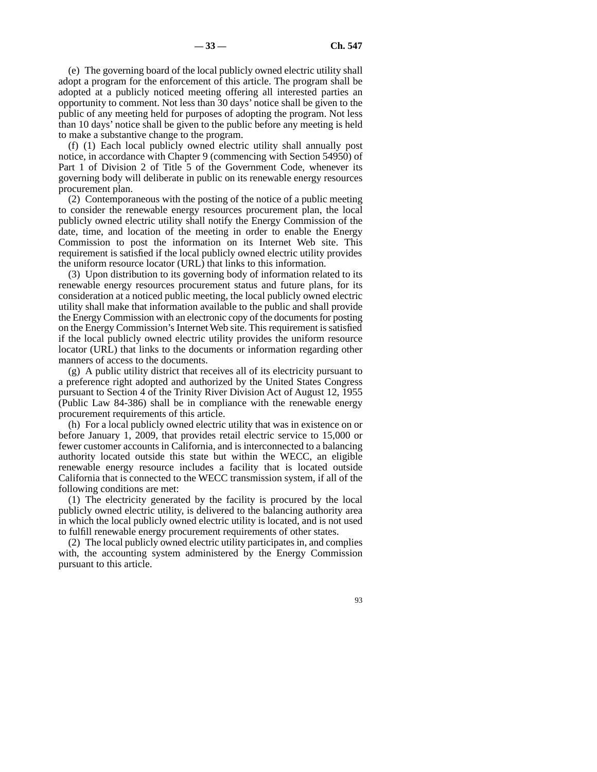(e) The governing board of the local publicly owned electric utility shall adopt a program for the enforcement of this article. The program shall be adopted at a publicly noticed meeting offering all interested parties an opportunity to comment. Not less than 30 days' notice shall be given to the public of any meeting held for purposes of adopting the program. Not less than 10 days' notice shall be given to the public before any meeting is held to make a substantive change to the program.

(f) (1) Each local publicly owned electric utility shall annually post notice, in accordance with Chapter 9 (commencing with Section 54950) of Part 1 of Division 2 of Title 5 of the Government Code, whenever its governing body will deliberate in public on its renewable energy resources procurement plan.

(2) Contemporaneous with the posting of the notice of a public meeting to consider the renewable energy resources procurement plan, the local publicly owned electric utility shall notify the Energy Commission of the date, time, and location of the meeting in order to enable the Energy Commission to post the information on its Internet Web site. This requirement is satisfied if the local publicly owned electric utility provides the uniform resource locator (URL) that links to this information.

(3) Upon distribution to its governing body of information related to its renewable energy resources procurement status and future plans, for its consideration at a noticed public meeting, the local publicly owned electric utility shall make that information available to the public and shall provide the Energy Commission with an electronic copy of the documents for posting on the Energy Commission's Internet Web site. This requirement is satisfied if the local publicly owned electric utility provides the uniform resource locator (URL) that links to the documents or information regarding other manners of access to the documents.

(g) A public utility district that receives all of its electricity pursuant to a preference right adopted and authorized by the United States Congress pursuant to Section 4 of the Trinity River Division Act of August 12, 1955 (Public Law 84-386) shall be in compliance with the renewable energy procurement requirements of this article.

(h) For a local publicly owned electric utility that was in existence on or before January 1, 2009, that provides retail electric service to 15,000 or fewer customer accounts in California, and is interconnected to a balancing authority located outside this state but within the WECC, an eligible renewable energy resource includes a facility that is located outside California that is connected to the WECC transmission system, if all of the following conditions are met:

(1) The electricity generated by the facility is procured by the local publicly owned electric utility, is delivered to the balancing authority area in which the local publicly owned electric utility is located, and is not used to fulfill renewable energy procurement requirements of other states.

(2) The local publicly owned electric utility participates in, and complies with, the accounting system administered by the Energy Commission pursuant to this article.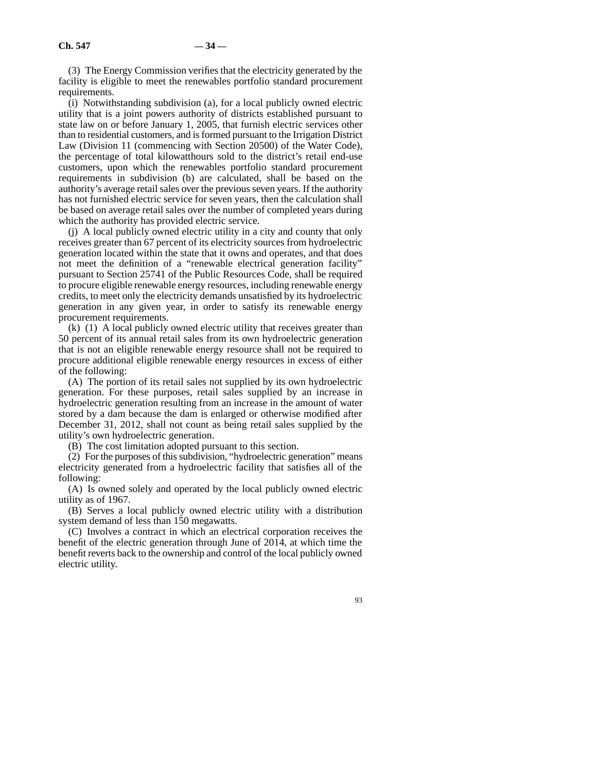(3) The Energy Commission verifies that the electricity generated by the facility is eligible to meet the renewables portfolio standard procurement requirements.

(i) Notwithstanding subdivision (a), for a local publicly owned electric utility that is a joint powers authority of districts established pursuant to state law on or before January 1, 2005, that furnish electric services other than to residential customers, and is formed pursuant to the Irrigation District Law (Division 11 (commencing with Section 20500) of the Water Code), the percentage of total kilowatthours sold to the district's retail end-use customers, upon which the renewables portfolio standard procurement requirements in subdivision (b) are calculated, shall be based on the authority's average retail sales over the previous seven years. If the authority has not furnished electric service for seven years, then the calculation shall be based on average retail sales over the number of completed years during which the authority has provided electric service.

(j) A local publicly owned electric utility in a city and county that only receives greater than 67 percent of its electricity sources from hydroelectric generation located within the state that it owns and operates, and that does not meet the definition of a "renewable electrical generation facility" pursuant to Section 25741 of the Public Resources Code, shall be required to procure eligible renewable energy resources, including renewable energy credits, to meet only the electricity demands unsatisfied by its hydroelectric generation in any given year, in order to satisfy its renewable energy procurement requirements.

(k) (1) A local publicly owned electric utility that receives greater than 50 percent of its annual retail sales from its own hydroelectric generation that is not an eligible renewable energy resource shall not be required to procure additional eligible renewable energy resources in excess of either of the following:

(A) The portion of its retail sales not supplied by its own hydroelectric generation. For these purposes, retail sales supplied by an increase in hydroelectric generation resulting from an increase in the amount of water stored by a dam because the dam is enlarged or otherwise modified after December 31, 2012, shall not count as being retail sales supplied by the utility's own hydroelectric generation.

(B) The cost limitation adopted pursuant to this section.

(2) For the purposes of this subdivision, "hydroelectric generation" means electricity generated from a hydroelectric facility that satisfies all of the following:

(A) Is owned solely and operated by the local publicly owned electric utility as of 1967.

(B) Serves a local publicly owned electric utility with a distribution system demand of less than 150 megawatts.

(C) Involves a contract in which an electrical corporation receives the benefit of the electric generation through June of 2014, at which time the benefit reverts back to the ownership and control of the local publicly owned electric utility.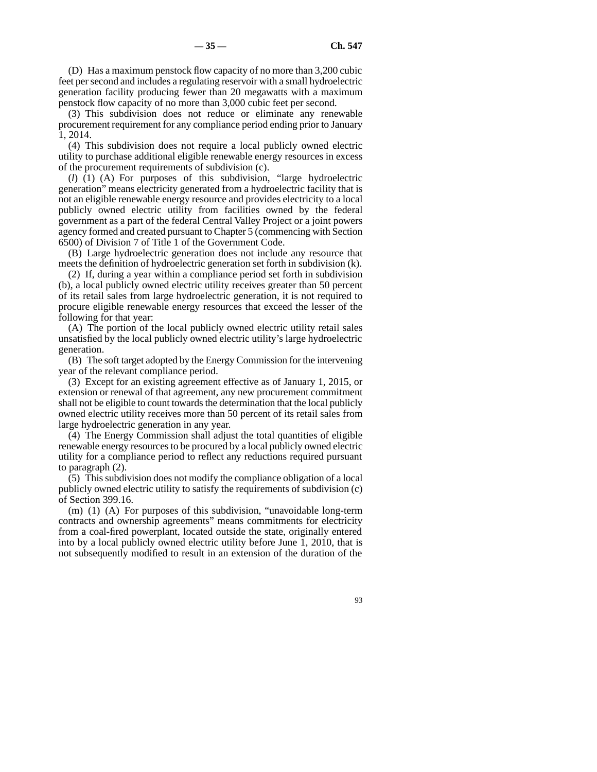(D) Has a maximum penstock flow capacity of no more than 3,200 cubic feet per second and includes a regulating reservoir with a small hydroelectric generation facility producing fewer than 20 megawatts with a maximum penstock flow capacity of no more than 3,000 cubic feet per second.

(3) This subdivision does not reduce or eliminate any renewable procurement requirement for any compliance period ending prior to January 1, 2014.

(4) This subdivision does not require a local publicly owned electric utility to purchase additional eligible renewable energy resources in excess of the procurement requirements of subdivision (c).

(*l*) (1) (A) For purposes of this subdivision, "large hydroelectric generation" means electricity generated from a hydroelectric facility that is not an eligible renewable energy resource and provides electricity to a local publicly owned electric utility from facilities owned by the federal government as a part of the federal Central Valley Project or a joint powers agency formed and created pursuant to Chapter 5 (commencing with Section 6500) of Division 7 of Title 1 of the Government Code.

(B) Large hydroelectric generation does not include any resource that meets the definition of hydroelectric generation set forth in subdivision (k).

(2) If, during a year within a compliance period set forth in subdivision (b), a local publicly owned electric utility receives greater than 50 percent of its retail sales from large hydroelectric generation, it is not required to procure eligible renewable energy resources that exceed the lesser of the following for that year:

(A) The portion of the local publicly owned electric utility retail sales unsatisfied by the local publicly owned electric utility's large hydroelectric generation.

(B) The soft target adopted by the Energy Commission for the intervening year of the relevant compliance period.

(3) Except for an existing agreement effective as of January 1, 2015, or extension or renewal of that agreement, any new procurement commitment shall not be eligible to count towards the determination that the local publicly owned electric utility receives more than 50 percent of its retail sales from large hydroelectric generation in any year.

(4) The Energy Commission shall adjust the total quantities of eligible renewable energy resources to be procured by a local publicly owned electric utility for a compliance period to reflect any reductions required pursuant to paragraph (2).

(5) This subdivision does not modify the compliance obligation of a local publicly owned electric utility to satisfy the requirements of subdivision (c) of Section 399.16.

(m) (1) (A) For purposes of this subdivision, "unavoidable long-term contracts and ownership agreements" means commitments for electricity from a coal-fired powerplant, located outside the state, originally entered into by a local publicly owned electric utility before June 1, 2010, that is not subsequently modified to result in an extension of the duration of the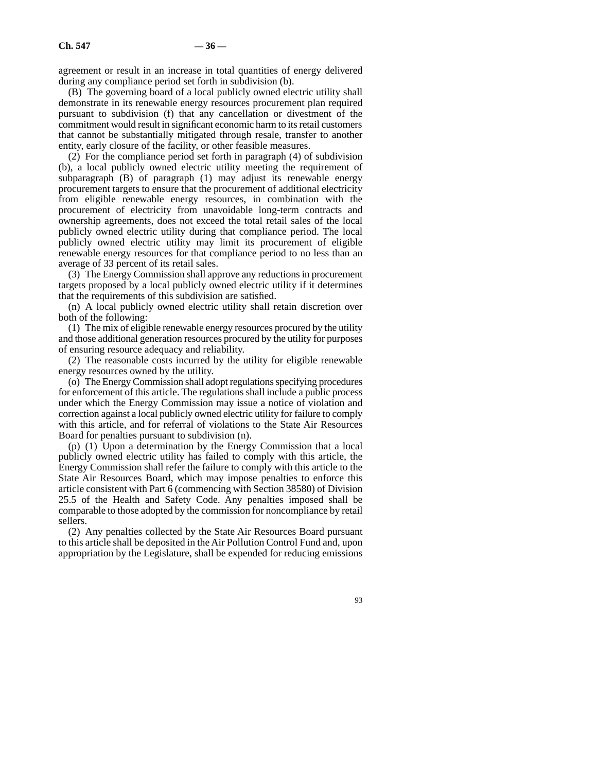agreement or result in an increase in total quantities of energy delivered during any compliance period set forth in subdivision (b).

(B) The governing board of a local publicly owned electric utility shall demonstrate in its renewable energy resources procurement plan required pursuant to subdivision (f) that any cancellation or divestment of the commitment would result in significant economic harm to its retail customers that cannot be substantially mitigated through resale, transfer to another entity, early closure of the facility, or other feasible measures.

(2) For the compliance period set forth in paragraph (4) of subdivision (b), a local publicly owned electric utility meeting the requirement of subparagraph (B) of paragraph (1) may adjust its renewable energy procurement targets to ensure that the procurement of additional electricity from eligible renewable energy resources, in combination with the procurement of electricity from unavoidable long-term contracts and ownership agreements, does not exceed the total retail sales of the local publicly owned electric utility during that compliance period. The local publicly owned electric utility may limit its procurement of eligible renewable energy resources for that compliance period to no less than an average of 33 percent of its retail sales.

(3) The Energy Commission shall approve any reductions in procurement targets proposed by a local publicly owned electric utility if it determines that the requirements of this subdivision are satisfied.

(n) A local publicly owned electric utility shall retain discretion over both of the following:

(1) The mix of eligible renewable energy resources procured by the utility and those additional generation resources procured by the utility for purposes of ensuring resource adequacy and reliability.

(2) The reasonable costs incurred by the utility for eligible renewable energy resources owned by the utility.

(o) The Energy Commission shall adopt regulations specifying procedures for enforcement of this article. The regulations shall include a public process under which the Energy Commission may issue a notice of violation and correction against a local publicly owned electric utility for failure to comply with this article, and for referral of violations to the State Air Resources Board for penalties pursuant to subdivision (n).

(p) (1) Upon a determination by the Energy Commission that a local publicly owned electric utility has failed to comply with this article, the Energy Commission shall refer the failure to comply with this article to the State Air Resources Board, which may impose penalties to enforce this article consistent with Part 6 (commencing with Section 38580) of Division 25.5 of the Health and Safety Code. Any penalties imposed shall be comparable to those adopted by the commission for noncompliance by retail sellers.

(2) Any penalties collected by the State Air Resources Board pursuant to this article shall be deposited in the Air Pollution Control Fund and, upon appropriation by the Legislature, shall be expended for reducing emissions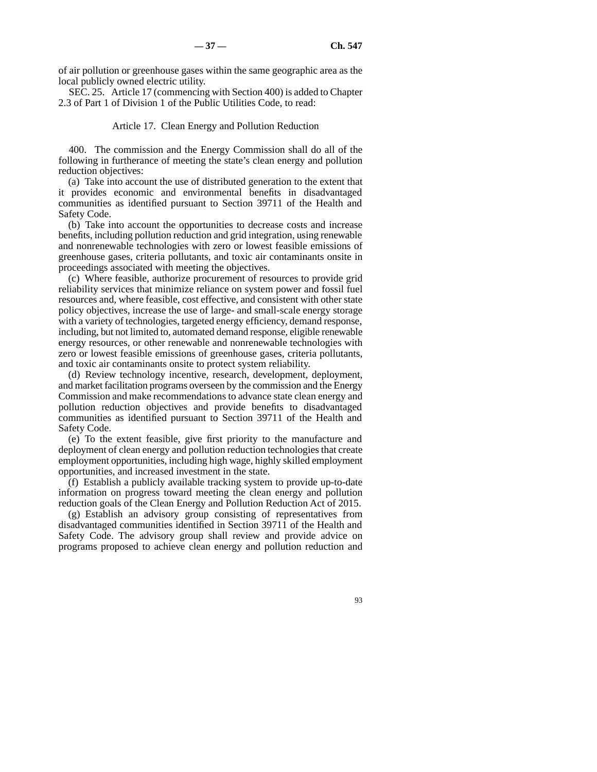of air pollution or greenhouse gases within the same geographic area as the local publicly owned electric utility.

SEC. 25. Article 17 (commencing with Section 400) is added to Chapter 2.3 of Part 1 of Division 1 of the Public Utilities Code, to read:

### Article 17. Clean Energy and Pollution Reduction

400. The commission and the Energy Commission shall do all of the following in furtherance of meeting the state's clean energy and pollution reduction objectives:

(a) Take into account the use of distributed generation to the extent that it provides economic and environmental benefits in disadvantaged communities as identified pursuant to Section 39711 of the Health and Safety Code.

(b) Take into account the opportunities to decrease costs and increase benefits, including pollution reduction and grid integration, using renewable and nonrenewable technologies with zero or lowest feasible emissions of greenhouse gases, criteria pollutants, and toxic air contaminants onsite in proceedings associated with meeting the objectives.

(c) Where feasible, authorize procurement of resources to provide grid reliability services that minimize reliance on system power and fossil fuel resources and, where feasible, cost effective, and consistent with other state policy objectives, increase the use of large- and small-scale energy storage with a variety of technologies, targeted energy efficiency, demand response, including, but not limited to, automated demand response, eligible renewable energy resources, or other renewable and nonrenewable technologies with zero or lowest feasible emissions of greenhouse gases, criteria pollutants, and toxic air contaminants onsite to protect system reliability.

(d) Review technology incentive, research, development, deployment, and market facilitation programs overseen by the commission and the Energy Commission and make recommendations to advance state clean energy and pollution reduction objectives and provide benefits to disadvantaged communities as identified pursuant to Section 39711 of the Health and Safety Code.

(e) To the extent feasible, give first priority to the manufacture and deployment of clean energy and pollution reduction technologies that create employment opportunities, including high wage, highly skilled employment opportunities, and increased investment in the state.

(f) Establish a publicly available tracking system to provide up-to-date information on progress toward meeting the clean energy and pollution reduction goals of the Clean Energy and Pollution Reduction Act of 2015.

(g) Establish an advisory group consisting of representatives from disadvantaged communities identified in Section 39711 of the Health and Safety Code. The advisory group shall review and provide advice on programs proposed to achieve clean energy and pollution reduction and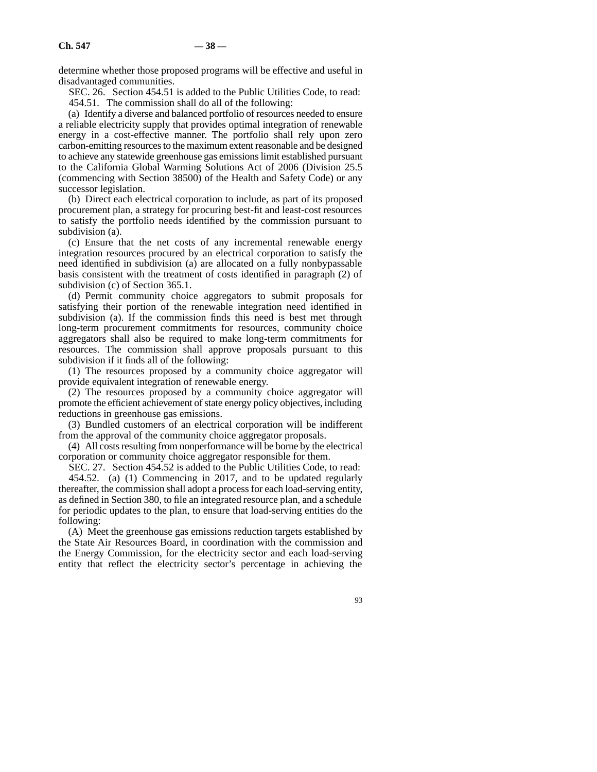determine whether those proposed programs will be effective and useful in disadvantaged communities.

SEC. 26. Section 454.51 is added to the Public Utilities Code, to read: 454.51. The commission shall do all of the following:

(a) Identify a diverse and balanced portfolio of resources needed to ensure a reliable electricity supply that provides optimal integration of renewable energy in a cost-effective manner. The portfolio shall rely upon zero carbon-emitting resources to the maximum extent reasonable and be designed to achieve any statewide greenhouse gas emissions limit established pursuant to the California Global Warming Solutions Act of 2006 (Division 25.5 (commencing with Section 38500) of the Health and Safety Code) or any successor legislation.

(b) Direct each electrical corporation to include, as part of its proposed procurement plan, a strategy for procuring best-fit and least-cost resources to satisfy the portfolio needs identified by the commission pursuant to subdivision (a).

(c) Ensure that the net costs of any incremental renewable energy integration resources procured by an electrical corporation to satisfy the need identified in subdivision (a) are allocated on a fully nonbypassable basis consistent with the treatment of costs identified in paragraph (2) of subdivision (c) of Section 365.1.

(d) Permit community choice aggregators to submit proposals for satisfying their portion of the renewable integration need identified in subdivision (a). If the commission finds this need is best met through long-term procurement commitments for resources, community choice aggregators shall also be required to make long-term commitments for resources. The commission shall approve proposals pursuant to this subdivision if it finds all of the following:

(1) The resources proposed by a community choice aggregator will provide equivalent integration of renewable energy.

(2) The resources proposed by a community choice aggregator will promote the efficient achievement of state energy policy objectives, including reductions in greenhouse gas emissions.

(3) Bundled customers of an electrical corporation will be indifferent from the approval of the community choice aggregator proposals.

(4) All costs resulting from nonperformance will be borne by the electrical corporation or community choice aggregator responsible for them.

SEC. 27. Section 454.52 is added to the Public Utilities Code, to read:

454.52. (a) (1) Commencing in 2017, and to be updated regularly thereafter, the commission shall adopt a process for each load-serving entity, as defined in Section 380, to file an integrated resource plan, and a schedule for periodic updates to the plan, to ensure that load-serving entities do the following:

(A) Meet the greenhouse gas emissions reduction targets established by the State Air Resources Board, in coordination with the commission and the Energy Commission, for the electricity sector and each load-serving entity that reflect the electricity sector's percentage in achieving the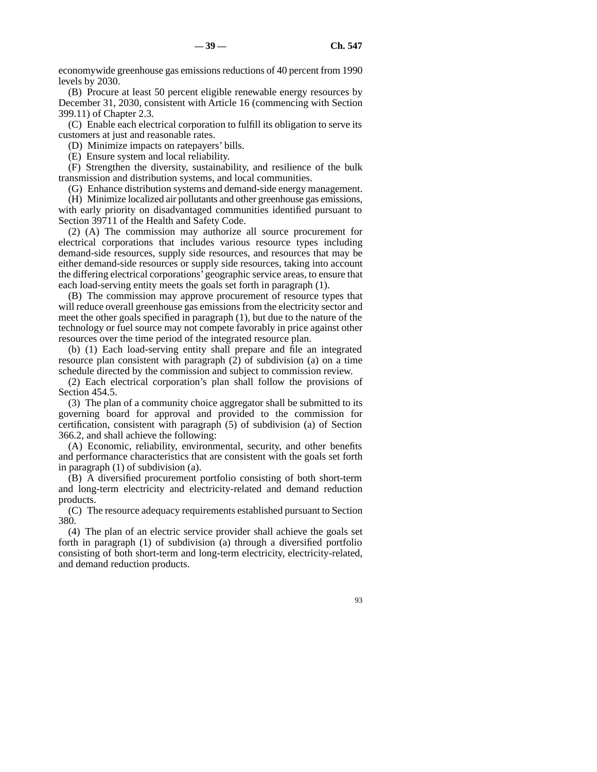economywide greenhouse gas emissions reductions of 40 percent from 1990 levels by 2030.

(B) Procure at least 50 percent eligible renewable energy resources by December 31, 2030, consistent with Article 16 (commencing with Section 399.11) of Chapter 2.3.

(C) Enable each electrical corporation to fulfill its obligation to serve its customers at just and reasonable rates.

(D) Minimize impacts on ratepayers' bills.

(E) Ensure system and local reliability.

(F) Strengthen the diversity, sustainability, and resilience of the bulk transmission and distribution systems, and local communities.

(G) Enhance distribution systems and demand-side energy management.

(H) Minimize localized air pollutants and other greenhouse gas emissions, with early priority on disadvantaged communities identified pursuant to Section 39711 of the Health and Safety Code.

(2) (A) The commission may authorize all source procurement for electrical corporations that includes various resource types including demand-side resources, supply side resources, and resources that may be either demand-side resources or supply side resources, taking into account the differing electrical corporations' geographic service areas, to ensure that each load-serving entity meets the goals set forth in paragraph (1).

(B) The commission may approve procurement of resource types that will reduce overall greenhouse gas emissions from the electricity sector and meet the other goals specified in paragraph (1), but due to the nature of the technology or fuel source may not compete favorably in price against other resources over the time period of the integrated resource plan.

(b) (1) Each load-serving entity shall prepare and file an integrated resource plan consistent with paragraph (2) of subdivision (a) on a time schedule directed by the commission and subject to commission review.

(2) Each electrical corporation's plan shall follow the provisions of Section 454.5.

(3) The plan of a community choice aggregator shall be submitted to its governing board for approval and provided to the commission for certification, consistent with paragraph (5) of subdivision (a) of Section 366.2, and shall achieve the following:

(A) Economic, reliability, environmental, security, and other benefits and performance characteristics that are consistent with the goals set forth in paragraph (1) of subdivision (a).

(B) A diversified procurement portfolio consisting of both short-term and long-term electricity and electricity-related and demand reduction products.

(C) The resource adequacy requirements established pursuant to Section 380.

(4) The plan of an electric service provider shall achieve the goals set forth in paragraph (1) of subdivision (a) through a diversified portfolio consisting of both short-term and long-term electricity, electricity-related, and demand reduction products.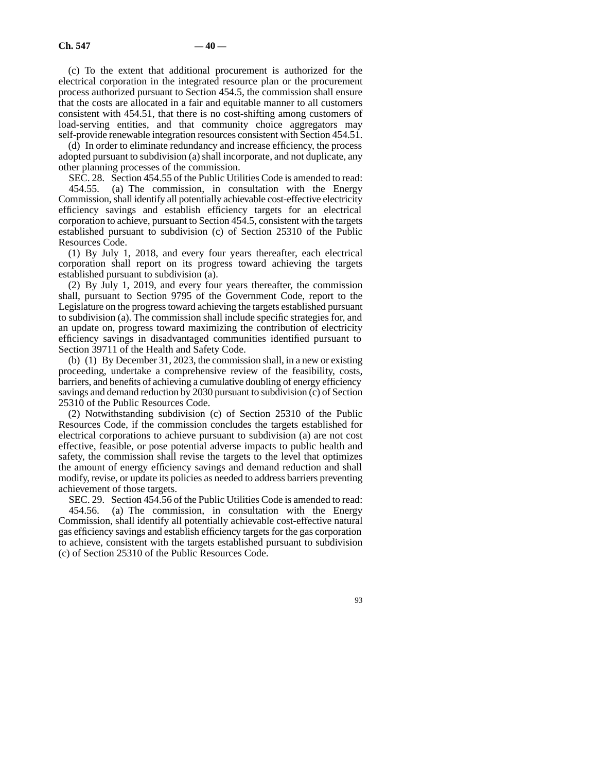(c) To the extent that additional procurement is authorized for the electrical corporation in the integrated resource plan or the procurement process authorized pursuant to Section 454.5, the commission shall ensure that the costs are allocated in a fair and equitable manner to all customers consistent with 454.51, that there is no cost-shifting among customers of load-serving entities, and that community choice aggregators may self-provide renewable integration resources consistent with Section 454.51.

(d) In order to eliminate redundancy and increase efficiency, the process adopted pursuant to subdivision (a) shall incorporate, and not duplicate, any other planning processes of the commission.

SEC. 28. Section 454.55 of the Public Utilities Code is amended to read: 454.55. (a) The commission, in consultation with the Energy Commission, shall identify all potentially achievable cost-effective electricity efficiency savings and establish efficiency targets for an electrical corporation to achieve, pursuant to Section 454.5, consistent with the targets

established pursuant to subdivision (c) of Section 25310 of the Public Resources Code. (1) By July 1, 2018, and every four years thereafter, each electrical

corporation shall report on its progress toward achieving the targets established pursuant to subdivision (a).

(2) By July 1, 2019, and every four years thereafter, the commission shall, pursuant to Section 9795 of the Government Code, report to the Legislature on the progress toward achieving the targets established pursuant to subdivision (a). The commission shall include specific strategies for, and an update on, progress toward maximizing the contribution of electricity efficiency savings in disadvantaged communities identified pursuant to Section 39711 of the Health and Safety Code.

(b) (1) By December 31, 2023, the commission shall, in a new or existing proceeding, undertake a comprehensive review of the feasibility, costs, barriers, and benefits of achieving a cumulative doubling of energy efficiency savings and demand reduction by 2030 pursuant to subdivision (c) of Section 25310 of the Public Resources Code.

(2) Notwithstanding subdivision (c) of Section 25310 of the Public Resources Code, if the commission concludes the targets established for electrical corporations to achieve pursuant to subdivision (a) are not cost effective, feasible, or pose potential adverse impacts to public health and safety, the commission shall revise the targets to the level that optimizes the amount of energy efficiency savings and demand reduction and shall modify, revise, or update its policies as needed to address barriers preventing achievement of those targets.

SEC. 29. Section 454.56 of the Public Utilities Code is amended to read: 454.56. (a) The commission, in consultation with the Energy Commission, shall identify all potentially achievable cost-effective natural gas efficiency savings and establish efficiency targets for the gas corporation to achieve, consistent with the targets established pursuant to subdivision (c) of Section 25310 of the Public Resources Code.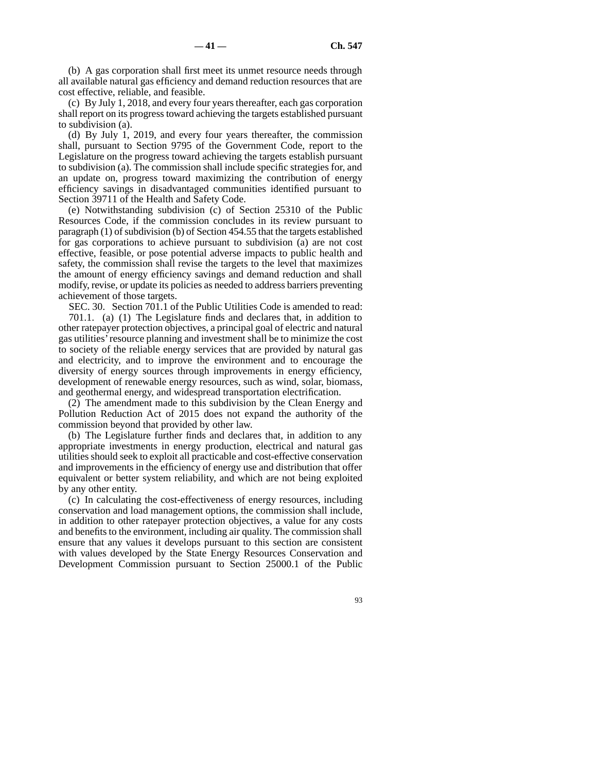(b) A gas corporation shall first meet its unmet resource needs through all available natural gas efficiency and demand reduction resources that are cost effective, reliable, and feasible.

(c) By July 1, 2018, and every four years thereafter, each gas corporation shall report on its progress toward achieving the targets established pursuant to subdivision (a).

(d) By July 1, 2019, and every four years thereafter, the commission shall, pursuant to Section 9795 of the Government Code, report to the Legislature on the progress toward achieving the targets establish pursuant to subdivision (a). The commission shall include specific strategies for, and an update on, progress toward maximizing the contribution of energy efficiency savings in disadvantaged communities identified pursuant to Section 39711 of the Health and Safety Code.

(e) Notwithstanding subdivision (c) of Section 25310 of the Public Resources Code, if the commission concludes in its review pursuant to paragraph (1) of subdivision (b) of Section 454.55 that the targets established for gas corporations to achieve pursuant to subdivision (a) are not cost effective, feasible, or pose potential adverse impacts to public health and safety, the commission shall revise the targets to the level that maximizes the amount of energy efficiency savings and demand reduction and shall modify, revise, or update its policies as needed to address barriers preventing achievement of those targets.

SEC. 30. Section 701.1 of the Public Utilities Code is amended to read: 701.1. (a) (1) The Legislature finds and declares that, in addition to other ratepayer protection objectives, a principal goal of electric and natural gas utilities' resource planning and investment shall be to minimize the cost to society of the reliable energy services that are provided by natural gas and electricity, and to improve the environment and to encourage the diversity of energy sources through improvements in energy efficiency, development of renewable energy resources, such as wind, solar, biomass, and geothermal energy, and widespread transportation electrification.

(2) The amendment made to this subdivision by the Clean Energy and Pollution Reduction Act of 2015 does not expand the authority of the commission beyond that provided by other law.

(b) The Legislature further finds and declares that, in addition to any appropriate investments in energy production, electrical and natural gas utilities should seek to exploit all practicable and cost-effective conservation and improvements in the efficiency of energy use and distribution that offer equivalent or better system reliability, and which are not being exploited by any other entity.

(c) In calculating the cost-effectiveness of energy resources, including conservation and load management options, the commission shall include, in addition to other ratepayer protection objectives, a value for any costs and benefits to the environment, including air quality. The commission shall ensure that any values it develops pursuant to this section are consistent with values developed by the State Energy Resources Conservation and Development Commission pursuant to Section 25000.1 of the Public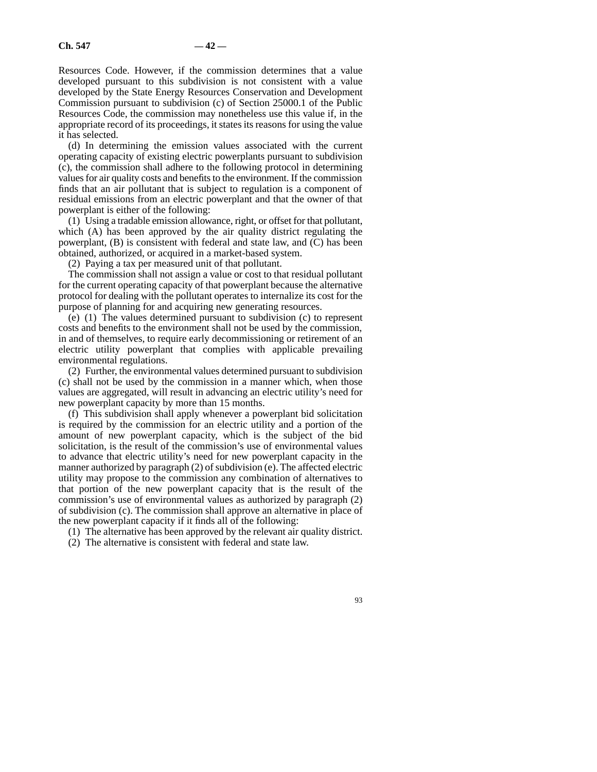Resources Code. However, if the commission determines that a value developed pursuant to this subdivision is not consistent with a value developed by the State Energy Resources Conservation and Development Commission pursuant to subdivision (c) of Section 25000.1 of the Public Resources Code, the commission may nonetheless use this value if, in the appropriate record of its proceedings, it states its reasons for using the value it has selected.

(d) In determining the emission values associated with the current operating capacity of existing electric powerplants pursuant to subdivision (c), the commission shall adhere to the following protocol in determining values for air quality costs and benefits to the environment. If the commission finds that an air pollutant that is subject to regulation is a component of residual emissions from an electric powerplant and that the owner of that powerplant is either of the following:

(1) Using a tradable emission allowance, right, or offset for that pollutant, which (A) has been approved by the air quality district regulating the powerplant,  $(B)$  is consistent with federal and state law, and  $(C)$  has been obtained, authorized, or acquired in a market-based system.

(2) Paying a tax per measured unit of that pollutant.

The commission shall not assign a value or cost to that residual pollutant for the current operating capacity of that powerplant because the alternative protocol for dealing with the pollutant operates to internalize its cost for the purpose of planning for and acquiring new generating resources.

(e) (1) The values determined pursuant to subdivision (c) to represent costs and benefits to the environment shall not be used by the commission, in and of themselves, to require early decommissioning or retirement of an electric utility powerplant that complies with applicable prevailing environmental regulations.

(2) Further, the environmental values determined pursuant to subdivision (c) shall not be used by the commission in a manner which, when those values are aggregated, will result in advancing an electric utility's need for new powerplant capacity by more than 15 months.

(f) This subdivision shall apply whenever a powerplant bid solicitation is required by the commission for an electric utility and a portion of the amount of new powerplant capacity, which is the subject of the bid solicitation, is the result of the commission's use of environmental values to advance that electric utility's need for new powerplant capacity in the manner authorized by paragraph (2) of subdivision (e). The affected electric utility may propose to the commission any combination of alternatives to that portion of the new powerplant capacity that is the result of the commission's use of environmental values as authorized by paragraph (2) of subdivision (c). The commission shall approve an alternative in place of the new powerplant capacity if it finds all of the following:

(1) The alternative has been approved by the relevant air quality district.

(2) The alternative is consistent with federal and state law.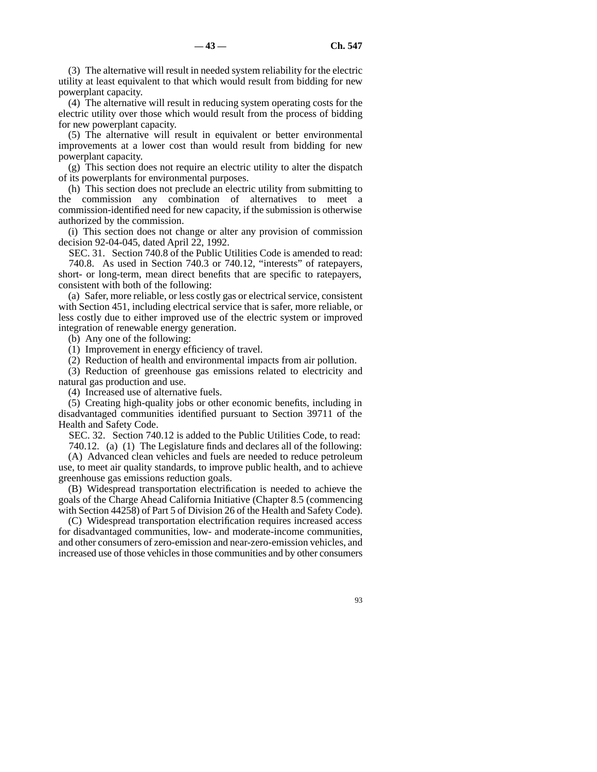(3) The alternative will result in needed system reliability for the electric utility at least equivalent to that which would result from bidding for new powerplant capacity.

(4) The alternative will result in reducing system operating costs for the electric utility over those which would result from the process of bidding for new powerplant capacity.

(5) The alternative will result in equivalent or better environmental improvements at a lower cost than would result from bidding for new powerplant capacity.

(g) This section does not require an electric utility to alter the dispatch of its powerplants for environmental purposes.

(h) This section does not preclude an electric utility from submitting to the commission any combination of alternatives to meet a commission-identified need for new capacity, if the submission is otherwise authorized by the commission.

(i) This section does not change or alter any provision of commission decision 92-04-045, dated April 22, 1992.

SEC. 31. Section 740.8 of the Public Utilities Code is amended to read: 740.8. As used in Section 740.3 or 740.12, "interests" of ratepayers, short- or long-term, mean direct benefits that are specific to ratepayers, consistent with both of the following:

(a) Safer, more reliable, or less costly gas or electrical service, consistent with Section 451, including electrical service that is safer, more reliable, or less costly due to either improved use of the electric system or improved integration of renewable energy generation.

(b) Any one of the following:

(1) Improvement in energy efficiency of travel.

(2) Reduction of health and environmental impacts from air pollution.

(3) Reduction of greenhouse gas emissions related to electricity and natural gas production and use.

(4) Increased use of alternative fuels.

(5) Creating high-quality jobs or other economic benefits, including in disadvantaged communities identified pursuant to Section 39711 of the Health and Safety Code.

SEC. 32. Section 740.12 is added to the Public Utilities Code, to read:

740.12. (a) (1) The Legislature finds and declares all of the following:

(A) Advanced clean vehicles and fuels are needed to reduce petroleum use, to meet air quality standards, to improve public health, and to achieve greenhouse gas emissions reduction goals.

(B) Widespread transportation electrification is needed to achieve the goals of the Charge Ahead California Initiative (Chapter 8.5 (commencing with Section 44258) of Part 5 of Division 26 of the Health and Safety Code).

(C) Widespread transportation electrification requires increased access for disadvantaged communities, low- and moderate-income communities, and other consumers of zero-emission and near-zero-emission vehicles, and increased use of those vehicles in those communities and by other consumers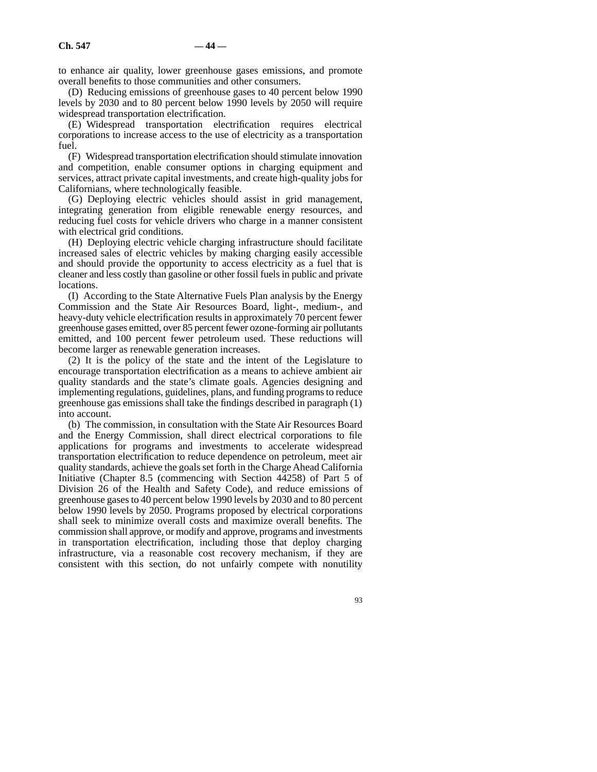to enhance air quality, lower greenhouse gases emissions, and promote overall benefits to those communities and other consumers.

(D) Reducing emissions of greenhouse gases to 40 percent below 1990 levels by 2030 and to 80 percent below 1990 levels by 2050 will require widespread transportation electrification.

(E) Widespread transportation electrification requires electrical corporations to increase access to the use of electricity as a transportation fuel.

(F) Widespread transportation electrification should stimulate innovation and competition, enable consumer options in charging equipment and services, attract private capital investments, and create high-quality jobs for Californians, where technologically feasible.

(G) Deploying electric vehicles should assist in grid management, integrating generation from eligible renewable energy resources, and reducing fuel costs for vehicle drivers who charge in a manner consistent with electrical grid conditions.

(H) Deploying electric vehicle charging infrastructure should facilitate increased sales of electric vehicles by making charging easily accessible and should provide the opportunity to access electricity as a fuel that is cleaner and less costly than gasoline or other fossil fuels in public and private locations.

(I) According to the State Alternative Fuels Plan analysis by the Energy Commission and the State Air Resources Board, light-, medium-, and heavy-duty vehicle electrification results in approximately 70 percent fewer greenhouse gases emitted, over 85 percent fewer ozone-forming air pollutants emitted, and 100 percent fewer petroleum used. These reductions will become larger as renewable generation increases.

(2) It is the policy of the state and the intent of the Legislature to encourage transportation electrification as a means to achieve ambient air quality standards and the state's climate goals. Agencies designing and implementing regulations, guidelines, plans, and funding programs to reduce greenhouse gas emissions shall take the findings described in paragraph (1) into account.

(b) The commission, in consultation with the State Air Resources Board and the Energy Commission, shall direct electrical corporations to file applications for programs and investments to accelerate widespread transportation electrification to reduce dependence on petroleum, meet air quality standards, achieve the goals set forth in the Charge Ahead California Initiative (Chapter 8.5 (commencing with Section 44258) of Part 5 of Division 26 of the Health and Safety Code), and reduce emissions of greenhouse gases to 40 percent below 1990 levels by 2030 and to 80 percent below 1990 levels by 2050. Programs proposed by electrical corporations shall seek to minimize overall costs and maximize overall benefits. The commission shall approve, or modify and approve, programs and investments in transportation electrification, including those that deploy charging infrastructure, via a reasonable cost recovery mechanism, if they are consistent with this section, do not unfairly compete with nonutility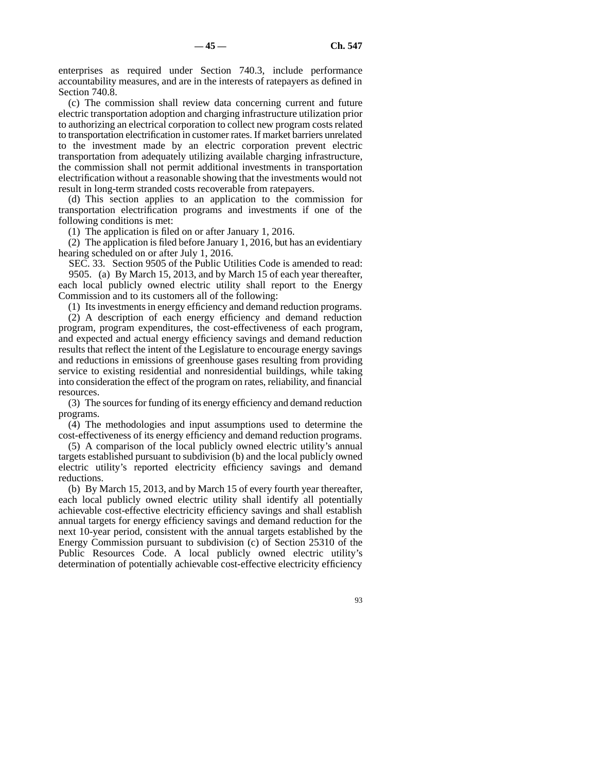enterprises as required under Section 740.3, include performance accountability measures, and are in the interests of ratepayers as defined in Section 740.8.

(c) The commission shall review data concerning current and future electric transportation adoption and charging infrastructure utilization prior to authorizing an electrical corporation to collect new program costs related to transportation electrification in customer rates. If market barriers unrelated to the investment made by an electric corporation prevent electric transportation from adequately utilizing available charging infrastructure, the commission shall not permit additional investments in transportation electrification without a reasonable showing that the investments would not result in long-term stranded costs recoverable from ratepayers.

(d) This section applies to an application to the commission for transportation electrification programs and investments if one of the following conditions is met:

(1) The application is filed on or after January 1, 2016.

(2) The application is filed before January 1, 2016, but has an evidentiary hearing scheduled on or after July 1, 2016.

SEC. 33. Section 9505 of the Public Utilities Code is amended to read: 9505. (a) By March 15, 2013, and by March 15 of each year thereafter, each local publicly owned electric utility shall report to the Energy Commission and to its customers all of the following:

(1) Its investments in energy efficiency and demand reduction programs.

(2) A description of each energy efficiency and demand reduction program, program expenditures, the cost-effectiveness of each program, and expected and actual energy efficiency savings and demand reduction results that reflect the intent of the Legislature to encourage energy savings and reductions in emissions of greenhouse gases resulting from providing service to existing residential and nonresidential buildings, while taking into consideration the effect of the program on rates, reliability, and financial resources.

(3) The sources for funding of its energy efficiency and demand reduction programs.

(4) The methodologies and input assumptions used to determine the cost-effectiveness of its energy efficiency and demand reduction programs.

(5) A comparison of the local publicly owned electric utility's annual targets established pursuant to subdivision (b) and the local publicly owned electric utility's reported electricity efficiency savings and demand reductions.

(b) By March 15, 2013, and by March 15 of every fourth year thereafter, each local publicly owned electric utility shall identify all potentially achievable cost-effective electricity efficiency savings and shall establish annual targets for energy efficiency savings and demand reduction for the next 10-year period, consistent with the annual targets established by the Energy Commission pursuant to subdivision (c) of Section 25310 of the Public Resources Code. A local publicly owned electric utility's determination of potentially achievable cost-effective electricity efficiency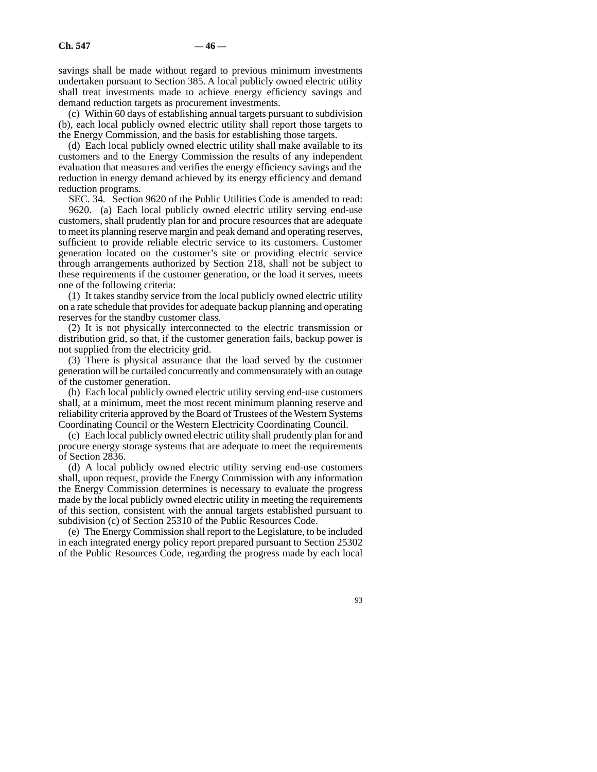savings shall be made without regard to previous minimum investments undertaken pursuant to Section 385. A local publicly owned electric utility shall treat investments made to achieve energy efficiency savings and demand reduction targets as procurement investments.

(c) Within 60 days of establishing annual targets pursuant to subdivision (b), each local publicly owned electric utility shall report those targets to the Energy Commission, and the basis for establishing those targets.

(d) Each local publicly owned electric utility shall make available to its customers and to the Energy Commission the results of any independent evaluation that measures and verifies the energy efficiency savings and the reduction in energy demand achieved by its energy efficiency and demand reduction programs.

SEC. 34. Section 9620 of the Public Utilities Code is amended to read:

9620. (a) Each local publicly owned electric utility serving end-use customers, shall prudently plan for and procure resources that are adequate to meet its planning reserve margin and peak demand and operating reserves, sufficient to provide reliable electric service to its customers. Customer generation located on the customer's site or providing electric service through arrangements authorized by Section 218, shall not be subject to these requirements if the customer generation, or the load it serves, meets one of the following criteria:

(1) It takes standby service from the local publicly owned electric utility on a rate schedule that provides for adequate backup planning and operating reserves for the standby customer class.

(2) It is not physically interconnected to the electric transmission or distribution grid, so that, if the customer generation fails, backup power is not supplied from the electricity grid.

(3) There is physical assurance that the load served by the customer generation will be curtailed concurrently and commensurately with an outage of the customer generation.

(b) Each local publicly owned electric utility serving end-use customers shall, at a minimum, meet the most recent minimum planning reserve and reliability criteria approved by the Board of Trustees of the Western Systems Coordinating Council or the Western Electricity Coordinating Council.

(c) Each local publicly owned electric utility shall prudently plan for and procure energy storage systems that are adequate to meet the requirements of Section 2836.

(d) A local publicly owned electric utility serving end-use customers shall, upon request, provide the Energy Commission with any information the Energy Commission determines is necessary to evaluate the progress made by the local publicly owned electric utility in meeting the requirements of this section, consistent with the annual targets established pursuant to subdivision (c) of Section 25310 of the Public Resources Code.

(e) The Energy Commission shall report to the Legislature, to be included in each integrated energy policy report prepared pursuant to Section 25302 of the Public Resources Code, regarding the progress made by each local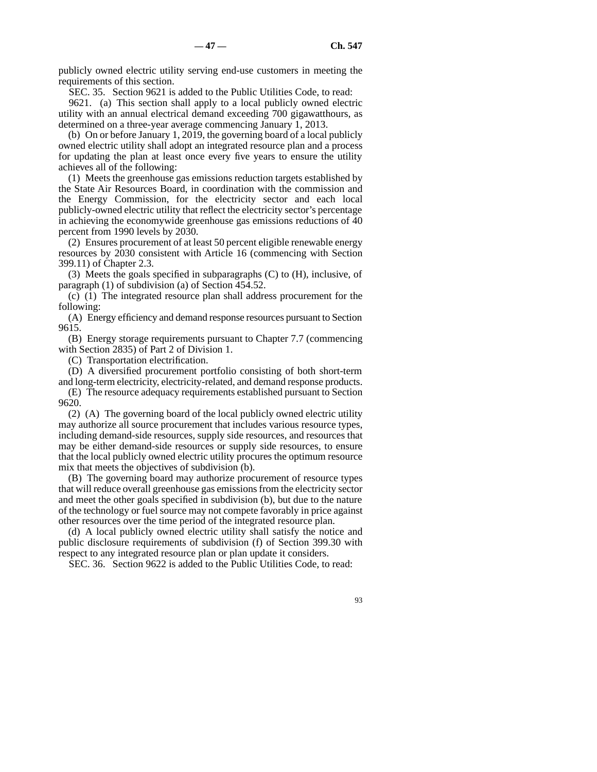publicly owned electric utility serving end-use customers in meeting the requirements of this section.

SEC. 35. Section 9621 is added to the Public Utilities Code, to read:

9621. (a) This section shall apply to a local publicly owned electric utility with an annual electrical demand exceeding 700 gigawatthours, as determined on a three-year average commencing January 1, 2013.

(b) On or before January 1, 2019, the governing board of a local publicly owned electric utility shall adopt an integrated resource plan and a process for updating the plan at least once every five years to ensure the utility achieves all of the following:

(1) Meets the greenhouse gas emissions reduction targets established by the State Air Resources Board, in coordination with the commission and the Energy Commission, for the electricity sector and each local publicly-owned electric utility that reflect the electricity sector's percentage in achieving the economywide greenhouse gas emissions reductions of 40 percent from 1990 levels by 2030.

(2) Ensures procurement of at least 50 percent eligible renewable energy resources by 2030 consistent with Article 16 (commencing with Section 399.11) of Chapter 2.3.

(3) Meets the goals specified in subparagraphs (C) to (H), inclusive, of paragraph (1) of subdivision (a) of Section 454.52.

(c) (1) The integrated resource plan shall address procurement for the following:

(A) Energy efficiency and demand response resources pursuant to Section 9615.

(B) Energy storage requirements pursuant to Chapter 7.7 (commencing with Section 2835) of Part 2 of Division 1.

(C) Transportation electrification.

(D) A diversified procurement portfolio consisting of both short-term

and long-term electricity, electricity-related, and demand response products. (E) The resource adequacy requirements established pursuant to Section 9620.

(2) (A) The governing board of the local publicly owned electric utility may authorize all source procurement that includes various resource types, including demand-side resources, supply side resources, and resources that may be either demand-side resources or supply side resources, to ensure that the local publicly owned electric utility procures the optimum resource mix that meets the objectives of subdivision (b).

(B) The governing board may authorize procurement of resource types that will reduce overall greenhouse gas emissions from the electricity sector and meet the other goals specified in subdivision (b), but due to the nature of the technology or fuel source may not compete favorably in price against other resources over the time period of the integrated resource plan.

(d) A local publicly owned electric utility shall satisfy the notice and public disclosure requirements of subdivision (f) of Section 399.30 with respect to any integrated resource plan or plan update it considers.

SEC. 36. Section 9622 is added to the Public Utilities Code, to read: